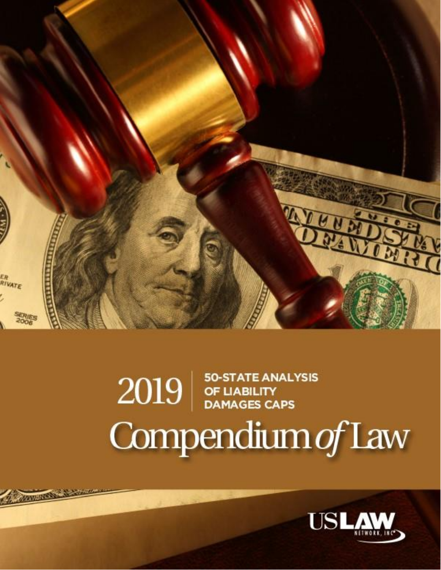

# $2019$  of LIABILITY Compendium of Law

**Gaaningeep** 

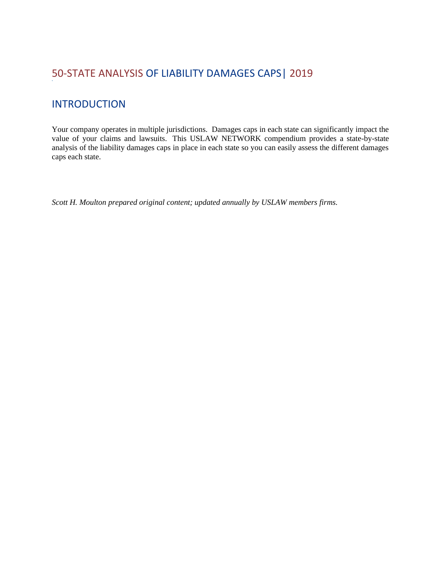# 50-STATE ANALYSIS OF LIABILITY DAMAGES CAPS| 2019

# INTRODUCTION

®

Your company operates in multiple jurisdictions. Damages caps in each state can significantly impact the value of your claims and lawsuits. This USLAW NETWORK compendium provides a state-by-state analysis of the liability damages caps in place in each state so you can easily assess the different damages caps each state.

*Scott H. Moulton prepared original content; updated annually by USLAW members firms.*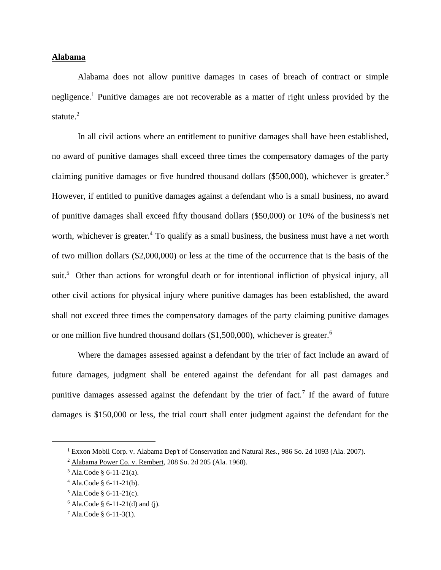#### **Alabama**

Alabama does not allow punitive damages in cases of breach of contract or simple negligence.<sup>1</sup> Punitive damages are not recoverable as a matter of right unless provided by the statute $^2$ 

In all civil actions where an entitlement to punitive damages shall have been established, no award of punitive damages shall exceed three times the compensatory damages of the party claiming punitive damages or five hundred thousand dollars (\$500,000), whichever is greater.<sup>3</sup> However, if entitled to punitive damages against a defendant who is a small business, no award of punitive damages shall exceed fifty thousand dollars (\$50,000) or 10% of the business's net worth, whichever is greater.<sup>4</sup> To qualify as a small business, the business must have a net worth of two million dollars (\$2,000,000) or less at the time of the occurrence that is the basis of the suit.<sup>5</sup> Other than actions for wrongful death or for intentional infliction of physical injury, all other civil actions for physical injury where punitive damages has been established, the award shall not exceed three times the compensatory damages of the party claiming punitive damages or one million five hundred thousand dollars (\$1,500,000), whichever is greater.<sup>6</sup>

Where the damages assessed against a defendant by the trier of fact include an award of future damages, judgment shall be entered against the defendant for all past damages and punitive damages assessed against the defendant by the trier of fact.<sup>7</sup> If the award of future damages is \$150,000 or less, the trial court shall enter judgment against the defendant for the

<sup>&</sup>lt;sup>1</sup> Exxon Mobil Corp. v. Alabama Dep't of Conservation and Natural Res., 986 So. 2d 1093 (Ala. 2007).

<sup>2</sup> Alabama Power Co. v. Rembert, 208 So. 2d 205 (Ala. 1968).

 $3$  Ala.Code § 6-11-21(a).

 $4$  Ala.Code § 6-11-21(b).

 $5$  Ala.Code § 6-11-21(c).

 $6$  Ala.Code § 6-11-21(d) and (j).

 $^7$  Ala.Code § 6-11-3(1).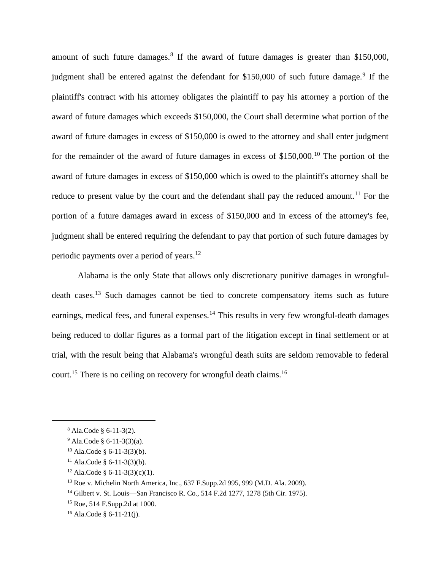amount of such future damages. $8$  If the award of future damages is greater than \$150,000, judgment shall be entered against the defendant for \$150,000 of such future damage.<sup>9</sup> If the plaintiff's contract with his attorney obligates the plaintiff to pay his attorney a portion of the award of future damages which exceeds \$150,000, the Court shall determine what portion of the award of future damages in excess of \$150,000 is owed to the attorney and shall enter judgment for the remainder of the award of future damages in excess of  $$150,000$ .<sup>10</sup> The portion of the award of future damages in excess of \$150,000 which is owed to the plaintiff's attorney shall be reduce to present value by the court and the defendant shall pay the reduced amount.<sup>11</sup> For the portion of a future damages award in excess of \$150,000 and in excess of the attorney's fee, judgment shall be entered requiring the defendant to pay that portion of such future damages by periodic payments over a period of years.<sup>12</sup>

Alabama is the only State that allows only discretionary punitive damages in wrongfuldeath cases.<sup>13</sup> Such damages cannot be tied to concrete compensatory items such as future earnings, medical fees, and funeral expenses.<sup>14</sup> This results in very few wrongful-death damages being reduced to dollar figures as a formal part of the litigation except in final settlement or at trial, with the result being that Alabama's wrongful death suits are seldom removable to federal court.<sup>15</sup> There is no ceiling on recovery for wrongful death claims.<sup>16</sup>

<sup>8</sup> Ala.Code § 6-11-3(2).

 $9$  Ala.Code § 6-11-3(3)(a).

 $10$  Ala.Code § 6-11-3(3)(b).

 $11$  Ala.Code § 6-11-3(3)(b).

 $12$  Ala.Code § 6-11-3(3)(c)(1).

<sup>13</sup> Roe v. Michelin North America, Inc., 637 F.Supp.2d 995, 999 (M.D. Ala. 2009).

<sup>14</sup> Gilbert v. St. Louis—San Francisco R. Co., 514 F.2d 1277, 1278 (5th Cir. 1975).

<sup>15</sup> Roe, 514 F.Supp.2d at 1000.

 $16$  Ala.Code § 6-11-21(j).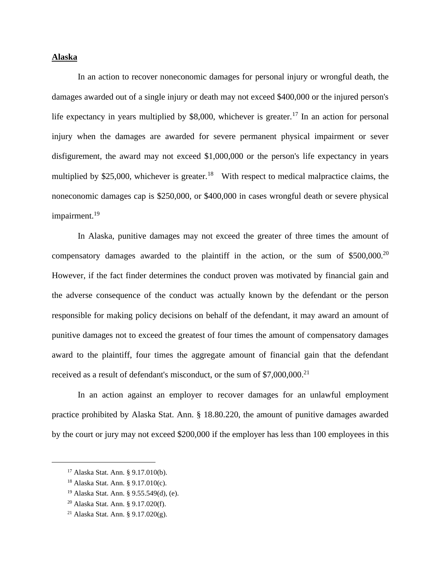# **Alaska**

In an action to recover noneconomic damages for personal injury or wrongful death, the damages awarded out of a single injury or death may not exceed \$400,000 or the injured person's life expectancy in years multiplied by  $$8,000$ , whichever is greater.<sup>17</sup> In an action for personal injury when the damages are awarded for severe permanent physical impairment or sever disfigurement, the award may not exceed \$1,000,000 or the person's life expectancy in years multiplied by \$25,000, whichever is greater.<sup>18</sup> With respect to medical malpractice claims, the noneconomic damages cap is \$250,000, or \$400,000 in cases wrongful death or severe physical impairment.<sup>19</sup>

In Alaska, punitive damages may not exceed the greater of three times the amount of compensatory damages awarded to the plaintiff in the action, or the sum of \$500,000.<sup>20</sup> However, if the fact finder determines the conduct proven was motivated by financial gain and the adverse consequence of the conduct was actually known by the defendant or the person responsible for making policy decisions on behalf of the defendant, it may award an amount of punitive damages not to exceed the greatest of four times the amount of compensatory damages award to the plaintiff, four times the aggregate amount of financial gain that the defendant received as a result of defendant's misconduct, or the sum of  $$7,000,000$ <sup>21</sup>

In an action against an employer to recover damages for an unlawful employment practice prohibited by Alaska Stat. Ann. § 18.80.220, the amount of punitive damages awarded by the court or jury may not exceed \$200,000 if the employer has less than 100 employees in this

<sup>17</sup> Alaska Stat. Ann. § 9.17.010(b).

<sup>18</sup> Alaska Stat. Ann. § 9.17.010(c).

<sup>19</sup> Alaska Stat. Ann. § 9.55.549(d), (e).

<sup>20</sup> Alaska Stat. Ann. § 9.17.020(f).

<sup>21</sup> Alaska Stat. Ann. § 9.17.020(g).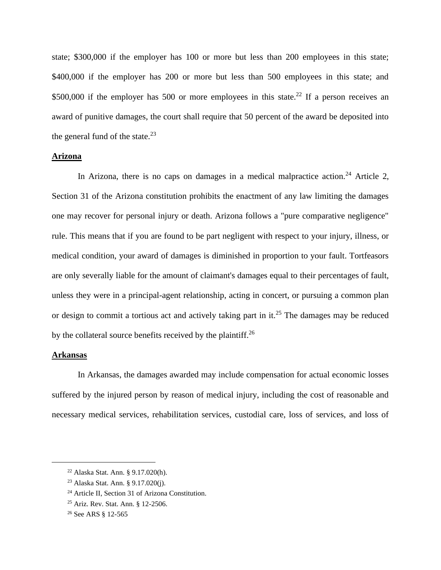state; \$300,000 if the employer has 100 or more but less than 200 employees in this state; \$400,000 if the employer has 200 or more but less than 500 employees in this state; and \$500,000 if the employer has 500 or more employees in this state.<sup>22</sup> If a person receives an award of punitive damages, the court shall require that 50 percent of the award be deposited into the general fund of the state. $^{23}$ 

# **Arizona**

In Arizona, there is no caps on damages in a medical malpractice action.<sup>24</sup> Article 2, Section 31 of the Arizona constitution prohibits the enactment of any law limiting the damages one may recover for personal injury or death. Arizona follows a "pure comparative negligence" rule. This means that if you are found to be part negligent with respect to your injury, illness, or medical condition, your award of damages is diminished in proportion to your fault. Tortfeasors are only severally liable for the amount of claimant's damages equal to their percentages of fault, unless they were in a principal-agent relationship, acting in concert, or pursuing a common plan or design to commit a tortious act and actively taking part in it.<sup>25</sup> The damages may be reduced by the collateral source benefits received by the plaintiff.<sup>26</sup>

#### **Arkansas**

In Arkansas, the damages awarded may include compensation for actual economic losses suffered by the injured person by reason of medical injury, including the cost of reasonable and necessary medical services, rehabilitation services, custodial care, loss of services, and loss of

<sup>22</sup> Alaska Stat. Ann. § 9.17.020(h).

<sup>23</sup> Alaska Stat. Ann. § 9.17.020(j).

<sup>24</sup> Article II, Section 31 of Arizona Constitution.

<sup>25</sup> Ariz. Rev. Stat. Ann. § 12-2506.

<sup>26</sup> See ARS § 12-565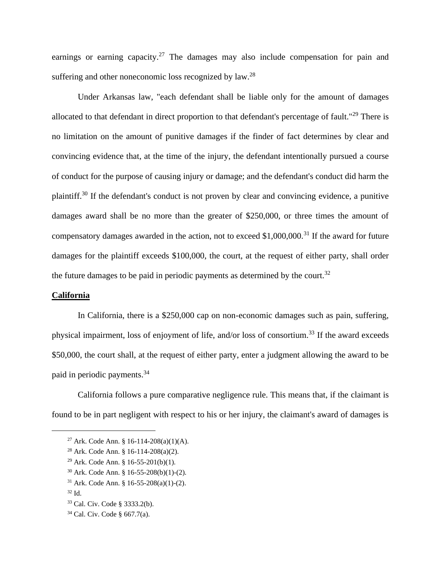earnings or earning capacity.<sup>27</sup> The damages may also include compensation for pain and suffering and other noneconomic loss recognized by law.<sup>28</sup>

Under Arkansas law, "each defendant shall be liable only for the amount of damages allocated to that defendant in direct proportion to that defendant's percentage of fault."<sup>29</sup> There is no limitation on the amount of punitive damages if the finder of fact determines by clear and convincing evidence that, at the time of the injury, the defendant intentionally pursued a course of conduct for the purpose of causing injury or damage; and the defendant's conduct did harm the plaintiff.<sup>30</sup> If the defendant's conduct is not proven by clear and convincing evidence, a punitive damages award shall be no more than the greater of \$250,000, or three times the amount of compensatory damages awarded in the action, not to exceed \$1,000,000.<sup>31</sup> If the award for future damages for the plaintiff exceeds \$100,000, the court, at the request of either party, shall order the future damages to be paid in periodic payments as determined by the court.<sup>32</sup>

#### **California**

In California, there is a \$250,000 cap on non-economic damages such as pain, suffering, physical impairment, loss of enjoyment of life, and/or loss of consortium.<sup>33</sup> If the award exceeds \$50,000, the court shall, at the request of either party, enter a judgment allowing the award to be paid in periodic payments.<sup>34</sup>

California follows a pure comparative negligence rule. This means that, if the claimant is found to be in part negligent with respect to his or her injury, the claimant's award of damages is

- <sup>29</sup> Ark. Code Ann. § 16-55-201(b)(1).
- <sup>30</sup> Ark. Code Ann. § 16-55-208(b)(1)-(2).
- $31$  Ark. Code Ann. § 16-55-208(a)(1)-(2).
- $32$  Id.
- <sup>33</sup> Cal. Civ. Code § 3333.2(b).
- <sup>34</sup> Cal. Civ. Code § 667.7(a).

<sup>&</sup>lt;sup>27</sup> Ark. Code Ann. § 16-114-208(a)(1)(A).

<sup>&</sup>lt;sup>28</sup> Ark. Code Ann. § 16-114-208(a)(2).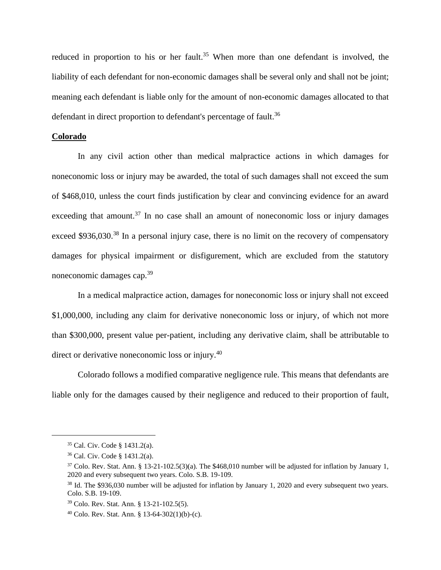reduced in proportion to his or her fault.<sup>35</sup> When more than one defendant is involved, the liability of each defendant for non-economic damages shall be several only and shall not be joint; meaning each defendant is liable only for the amount of non-economic damages allocated to that defendant in direct proportion to defendant's percentage of fault.<sup>36</sup>

# **Colorado**

In any civil action other than medical malpractice actions in which damages for noneconomic loss or injury may be awarded, the total of such damages shall not exceed the sum of \$468,010, unless the court finds justification by clear and convincing evidence for an award exceeding that amount.<sup>37</sup> In no case shall an amount of noneconomic loss or injury damages exceed \$936,030.<sup>38</sup> In a personal injury case, there is no limit on the recovery of compensatory damages for physical impairment or disfigurement, which are excluded from the statutory noneconomic damages cap.<sup>39</sup>

In a medical malpractice action, damages for noneconomic loss or injury shall not exceed \$1,000,000, including any claim for derivative noneconomic loss or injury, of which not more than \$300,000, present value per-patient, including any derivative claim, shall be attributable to direct or derivative noneconomic loss or injury.<sup>40</sup>

Colorado follows a modified comparative negligence rule. This means that defendants are liable only for the damages caused by their negligence and reduced to their proportion of fault,

<sup>35</sup> Cal. Civ. Code § 1431.2(a).

<sup>36</sup> Cal. Civ. Code § 1431.2(a).

 $37$  Colo. Rev. Stat. Ann. § 13-21-102.5(3)(a). The \$468,010 number will be adjusted for inflation by January 1, 2020 and every subsequent two years. Colo. S.B. 19-109.

<sup>&</sup>lt;sup>38</sup> Id. The \$936,030 number will be adjusted for inflation by January 1, 2020 and every subsequent two years. Colo. S.B. 19-109.

<sup>39</sup> Colo. Rev. Stat. Ann. § 13-21-102.5(5).

<sup>40</sup> Colo. Rev. Stat. Ann. § 13-64-302(1)(b)-(c).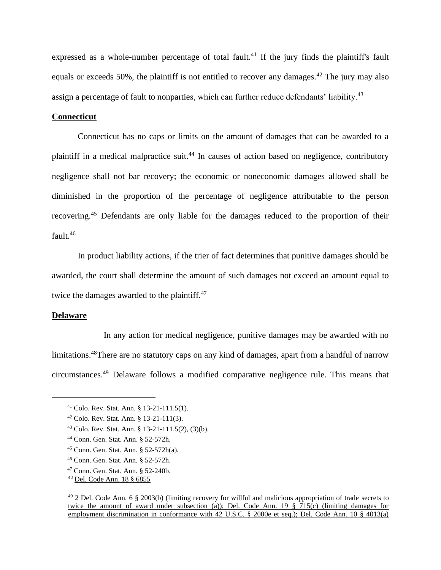expressed as a whole-number percentage of total fault.<sup>41</sup> If the jury finds the plaintiff's fault equals or exceeds 50%, the plaintiff is not entitled to recover any damages.<sup>42</sup> The jury may also assign a percentage of fault to nonparties, which can further reduce defendants' liability.<sup>43</sup>

#### **Connecticut**

Connecticut has no caps or limits on the amount of damages that can be awarded to a plaintiff in a medical malpractice suit.<sup>44</sup> In causes of action based on negligence, contributory negligence shall not bar recovery; the economic or noneconomic damages allowed shall be diminished in the proportion of the percentage of negligence attributable to the person recovering.<sup>45</sup> Defendants are only liable for the damages reduced to the proportion of their fault. $46$ 

In product liability actions, if the trier of fact determines that punitive damages should be awarded, the court shall determine the amount of such damages not exceed an amount equal to twice the damages awarded to the plaintiff.<sup>47</sup>

#### **Delaware**

In any action for medical negligence, punitive damages may be awarded with no limitations.<sup>48</sup>There are no statutory caps on any kind of damages, apart from a handful of narrow circumstances.<sup>49</sup> Delaware follows a modified comparative negligence rule. This means that

<sup>44</sup> Conn. Gen. Stat. Ann. § 52-572h.

<sup>46</sup> Conn. Gen. Stat. Ann. § 52-572h.

<sup>41</sup> Colo. Rev. Stat. Ann. § 13-21-111.5(1).

<sup>42</sup> Colo. Rev. Stat. Ann. § 13-21-111(3).

<sup>43</sup> Colo. Rev. Stat. Ann. § 13-21-111.5(2), (3)(b).

<sup>45</sup> Conn. Gen. Stat. Ann. § 52-572h(a).

<sup>47</sup> Conn. Gen. Stat. Ann. § 52-240b.

<sup>48</sup> Del. Code Ann. 18 § 6855

<sup>49</sup> 2 Del. Code Ann. 6 § 2003(b) (limiting recovery for willful and malicious appropriation of trade secrets to twice the amount of award under subsection (a)); Del. Code Ann. 19 § 715(c) (limiting damages for employment discrimination in conformance with 42 U.S.C. § 2000e et seq.); Del. Code Ann. 10 § 4013(a)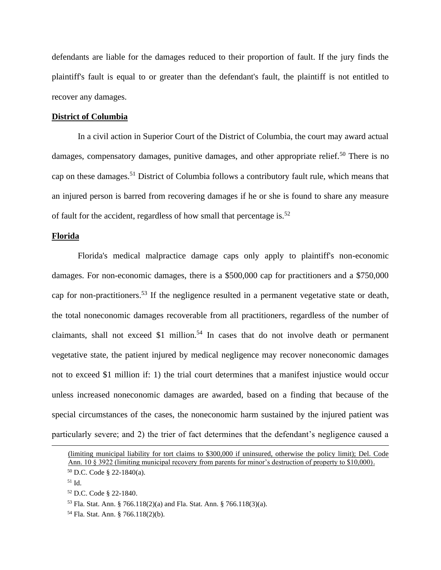defendants are liable for the damages reduced to their proportion of fault. If the jury finds the plaintiff's fault is equal to or greater than the defendant's fault, the plaintiff is not entitled to recover any damages.

#### **District of Columbia**

In a civil action in Superior Court of the District of Columbia, the court may award actual damages, compensatory damages, punitive damages, and other appropriate relief.<sup>50</sup> There is no cap on these damages.<sup>51</sup> District of Columbia follows a contributory fault rule, which means that an injured person is barred from recovering damages if he or she is found to share any measure of fault for the accident, regardless of how small that percentage is.<sup>52</sup>

#### **Florida**

Florida's medical malpractice damage caps only apply to plaintiff's non-economic damages. For non-economic damages, there is a \$500,000 cap for practitioners and a \$750,000 cap for non-practitioners.<sup>53</sup> If the negligence resulted in a permanent vegetative state or death, the total noneconomic damages recoverable from all practitioners, regardless of the number of claimants, shall not exceed \$1 million.<sup>54</sup> In cases that do not involve death or permanent vegetative state, the patient injured by medical negligence may recover noneconomic damages not to exceed \$1 million if: 1) the trial court determines that a manifest injustice would occur unless increased noneconomic damages are awarded, based on a finding that because of the special circumstances of the cases, the noneconomic harm sustained by the injured patient was particularly severe; and 2) the trier of fact determines that the defendant's negligence caused a

<sup>(</sup>limiting municipal liability for tort claims to \$300,000 if uninsured, otherwise the policy limit); Del. Code Ann. 10 § 3922 (limiting municipal recovery from parents for minor's destruction of property to \$10,000).

<sup>50</sup> D.C. Code § 22-1840(a).

 $51$  Id.

<sup>52</sup> D.C. Code § 22-1840.

<sup>53</sup> Fla. Stat. Ann. § 766.118(2)(a) and Fla. Stat. Ann. § 766.118(3)(a).

<sup>54</sup> Fla. Stat. Ann. § 766.118(2)(b).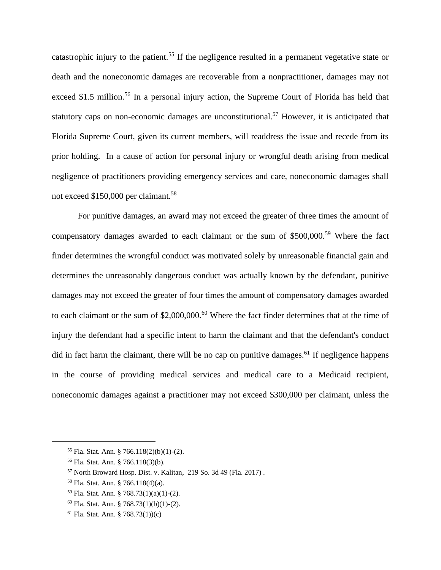catastrophic injury to the patient.<sup>55</sup> If the negligence resulted in a permanent vegetative state or death and the noneconomic damages are recoverable from a nonpractitioner, damages may not exceed \$1.5 million.<sup>56</sup> In a personal injury action, the Supreme Court of Florida has held that statutory caps on non-economic damages are unconstitutional.<sup>57</sup> However, it is anticipated that Florida Supreme Court, given its current members, will readdress the issue and recede from its prior holding. In a cause of action for personal injury or wrongful death arising from medical negligence of practitioners providing emergency services and care, noneconomic damages shall not exceed \$150,000 per claimant.<sup>58</sup>

For punitive damages, an award may not exceed the greater of three times the amount of compensatory damages awarded to each claimant or the sum of \$500,000.<sup>59</sup> Where the fact finder determines the wrongful conduct was motivated solely by unreasonable financial gain and determines the unreasonably dangerous conduct was actually known by the defendant, punitive damages may not exceed the greater of four times the amount of compensatory damages awarded to each claimant or the sum of \$2,000,000.<sup>60</sup> Where the fact finder determines that at the time of injury the defendant had a specific intent to harm the claimant and that the defendant's conduct did in fact harm the claimant, there will be no cap on punitive damages.<sup>61</sup> If negligence happens in the course of providing medical services and medical care to a Medicaid recipient, noneconomic damages against a practitioner may not exceed \$300,000 per claimant, unless the

<sup>55</sup> Fla. Stat. Ann. § 766.118(2)(b)(1)-(2).

<sup>56</sup> Fla. Stat. Ann. § 766.118(3)(b).

<sup>57</sup> North Broward Hosp. Dist. v. Kalitan, 219 So. 3d 49 (Fla. 2017) .

<sup>58</sup> Fla. Stat. Ann. § 766.118(4)(a).

<sup>59</sup> Fla. Stat. Ann. § 768.73(1)(a)(1)-(2).

 $60$  Fla. Stat. Ann. § 768.73(1)(b)(1)-(2).

 $61$  Fla. Stat. Ann. § 768.73(1))(c)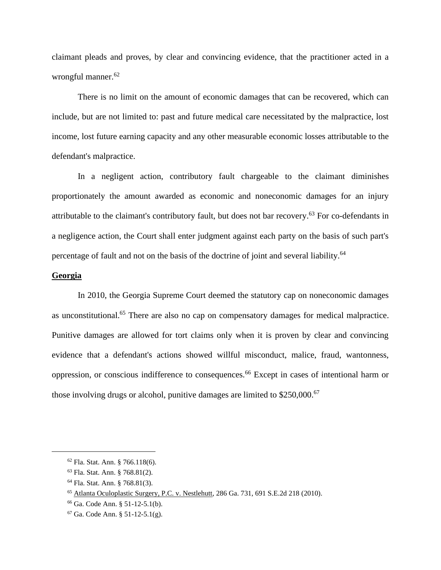claimant pleads and proves, by clear and convincing evidence, that the practitioner acted in a wrongful manner.<sup>62</sup>

There is no limit on the amount of economic damages that can be recovered, which can include, but are not limited to: past and future medical care necessitated by the malpractice, lost income, lost future earning capacity and any other measurable economic losses attributable to the defendant's malpractice.

In a negligent action, contributory fault chargeable to the claimant diminishes proportionately the amount awarded as economic and noneconomic damages for an injury attributable to the claimant's contributory fault, but does not bar recovery. <sup>63</sup> For co-defendants in a negligence action, the Court shall enter judgment against each party on the basis of such part's percentage of fault and not on the basis of the doctrine of joint and several liability.<sup>64</sup>

# **Georgia**

In 2010, the Georgia Supreme Court deemed the statutory cap on noneconomic damages as unconstitutional.<sup>65</sup> There are also no cap on compensatory damages for medical malpractice. Punitive damages are allowed for tort claims only when it is proven by clear and convincing evidence that a defendant's actions showed willful misconduct, malice, fraud, wantonness, oppression, or conscious indifference to consequences.<sup>66</sup> Except in cases of intentional harm or those involving drugs or alcohol, punitive damages are limited to  $$250,000$ .<sup>67</sup>

<sup>62</sup> Fla. Stat. Ann. § 766.118(6).

<sup>63</sup> Fla. Stat. Ann. § 768.81(2).

<sup>64</sup> Fla. Stat. Ann. § 768.81(3).

<sup>65</sup> Atlanta Oculoplastic Surgery, P.C. v. Nestlehutt, 286 Ga. 731, 691 S.E.2d 218 (2010).

<sup>66</sup> Ga. Code Ann. § 51-12-5.1(b).

 $67$  Ga. Code Ann. § 51-12-5.1(g).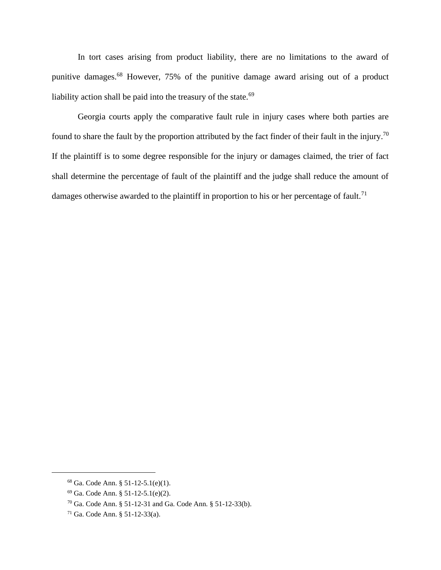In tort cases arising from product liability, there are no limitations to the award of punitive damages.<sup>68</sup> However, 75% of the punitive damage award arising out of a product liability action shall be paid into the treasury of the state. $69$ 

Georgia courts apply the comparative fault rule in injury cases where both parties are found to share the fault by the proportion attributed by the fact finder of their fault in the injury.<sup>70</sup> If the plaintiff is to some degree responsible for the injury or damages claimed, the trier of fact shall determine the percentage of fault of the plaintiff and the judge shall reduce the amount of damages otherwise awarded to the plaintiff in proportion to his or her percentage of fault.<sup>71</sup>

<sup>68</sup> Ga. Code Ann. § 51-12-5.1(e)(1).

<sup>69</sup> Ga. Code Ann. § 51-12-5.1(e)(2).

<sup>70</sup> Ga. Code Ann. § 51-12-31 and Ga. Code Ann. § 51-12-33(b).

<sup>71</sup> Ga. Code Ann. § 51-12-33(a).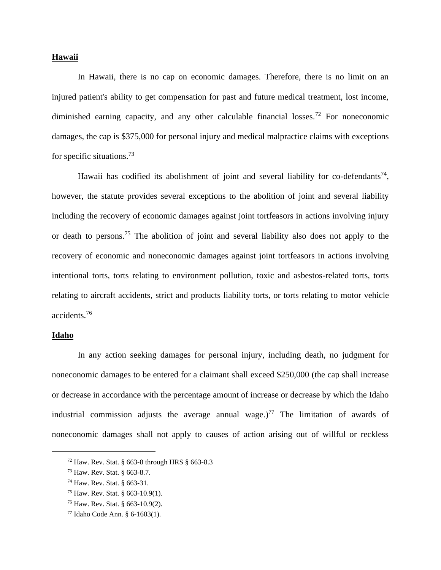# **Hawaii**

In Hawaii, there is no cap on economic damages. Therefore, there is no limit on an injured patient's ability to get compensation for past and future medical treatment, lost income, diminished earning capacity, and any other calculable financial losses.<sup>72</sup> For noneconomic damages, the cap is \$375,000 for personal injury and medical malpractice claims with exceptions for specific situations.<sup>73</sup>

Hawaii has codified its abolishment of joint and several liability for co-defendants<sup>74</sup>, however, the statute provides several exceptions to the abolition of joint and several liability including the recovery of economic damages against joint tortfeasors in actions involving injury or death to persons.<sup>75</sup> The abolition of joint and several liability also does not apply to the recovery of economic and noneconomic damages against joint tortfeasors in actions involving intentional torts, torts relating to environment pollution, toxic and asbestos-related torts, torts relating to aircraft accidents, strict and products liability torts, or torts relating to motor vehicle accidents.<sup>76</sup>

# **Idaho**

In any action seeking damages for personal injury, including death, no judgment for noneconomic damages to be entered for a claimant shall exceed \$250,000 (the cap shall increase or decrease in accordance with the percentage amount of increase or decrease by which the Idaho industrial commission adjusts the average annual wage.)<sup>77</sup> The limitation of awards of noneconomic damages shall not apply to causes of action arising out of willful or reckless

<sup>72</sup> Haw. Rev. Stat. § 663-8 through HRS § 663-8.3

<sup>73</sup> Haw. Rev. Stat. § 663-8.7.

<sup>74</sup> Haw. Rev. Stat. § 663-31.

<sup>75</sup> Haw. Rev. Stat. § 663-10.9(1).

<sup>76</sup> Haw. Rev. Stat. § 663-10.9(2).

<sup>77</sup> Idaho Code Ann. § 6-1603(1).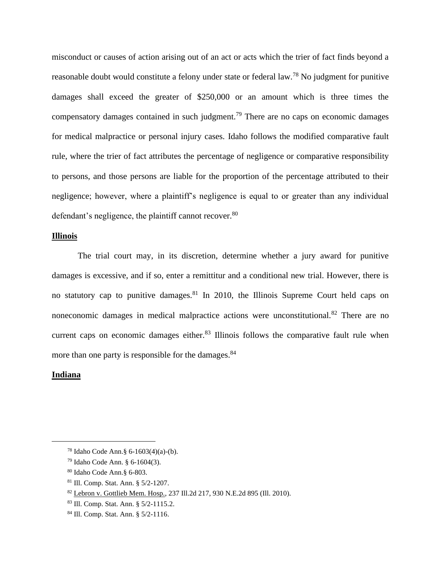misconduct or causes of action arising out of an act or acts which the trier of fact finds beyond a reasonable doubt would constitute a felony under state or federal law.<sup>78</sup> No judgment for punitive damages shall exceed the greater of \$250,000 or an amount which is three times the compensatory damages contained in such judgment.<sup>79</sup> There are no caps on economic damages for medical malpractice or personal injury cases. Idaho follows the modified comparative fault rule, where the trier of fact attributes the percentage of negligence or comparative responsibility to persons, and those persons are liable for the proportion of the percentage attributed to their negligence; however, where a plaintiff's negligence is equal to or greater than any individual defendant's negligence, the plaintiff cannot recover.<sup>80</sup>

#### **Illinois**

The trial court may, in its discretion, determine whether a jury award for punitive damages is excessive, and if so, enter a remittitur and a conditional new trial. However, there is no statutory cap to punitive damages.<sup>81</sup> In 2010, the Illinois Supreme Court held caps on noneconomic damages in medical malpractice actions were unconstitutional.<sup>82</sup> There are no current caps on economic damages either. $83$  Illinois follows the comparative fault rule when more than one party is responsible for the damages.<sup>84</sup>

#### **Indiana**

<sup>78</sup> Idaho Code Ann.§ 6-1603(4)(a)-(b).

<sup>79</sup> Idaho Code Ann. § 6-1604(3).

<sup>80</sup> Idaho Code Ann.§ 6-803.

<sup>81</sup> Ill. Comp. Stat. Ann. § 5/2-1207.

<sup>82</sup> Lebron v. Gottlieb Mem. Hosp., 237 Ill.2d 217, 930 N.E.2d 895 (Ill. 2010).

<sup>83</sup> Ill. Comp. Stat. Ann. § 5/2-1115.2.

<sup>84</sup> Ill. Comp. Stat. Ann. § 5/2-1116.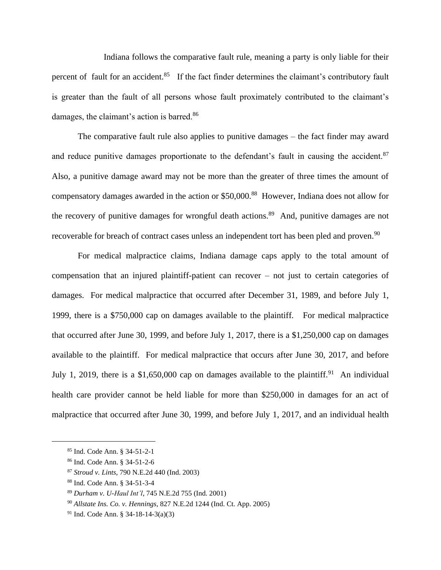Indiana follows the comparative fault rule, meaning a party is only liable for their percent of fault for an accident.<sup>85</sup> If the fact finder determines the claimant's contributory fault is greater than the fault of all persons whose fault proximately contributed to the claimant's damages, the claimant's action is barred.<sup>86</sup>

The comparative fault rule also applies to punitive damages – the fact finder may award and reduce punitive damages proportionate to the defendant's fault in causing the accident.<sup>87</sup> Also, a punitive damage award may not be more than the greater of three times the amount of compensatory damages awarded in the action or \$50,000.<sup>88</sup> However, Indiana does not allow for the recovery of punitive damages for wrongful death actions.<sup>89</sup> And, punitive damages are not recoverable for breach of contract cases unless an independent tort has been pled and proven.<sup>90</sup>

For medical malpractice claims, Indiana damage caps apply to the total amount of compensation that an injured plaintiff-patient can recover – not just to certain categories of damages. For medical malpractice that occurred after December 31, 1989, and before July 1, 1999, there is a \$750,000 cap on damages available to the plaintiff. For medical malpractice that occurred after June 30, 1999, and before July 1, 2017, there is a \$1,250,000 cap on damages available to the plaintiff. For medical malpractice that occurs after June 30, 2017, and before July 1, 2019, there is a \$1,650,000 cap on damages available to the plaintiff.<sup>91</sup> An individual health care provider cannot be held liable for more than \$250,000 in damages for an act of malpractice that occurred after June 30, 1999, and before July 1, 2017, and an individual health

<sup>85</sup> Ind. Code Ann. § 34-51-2-1

<sup>86</sup> Ind. Code Ann. § 34-51-2-6

<sup>87</sup> *Stroud v. Lints*, 790 N.E.2d 440 (Ind. 2003)

<sup>88</sup> Ind. Code Ann. § 34-51-3-4

<sup>89</sup> *Durham v. U-Haul Int'l*, 745 N.E.2d 755 (Ind. 2001)

<sup>90</sup> *Allstate Ins. Co. v. Hennings*, 827 N.E.2d 1244 (Ind. Ct. App. 2005)

<sup>91</sup> Ind. Code Ann. § 34-18-14-3(a)(3)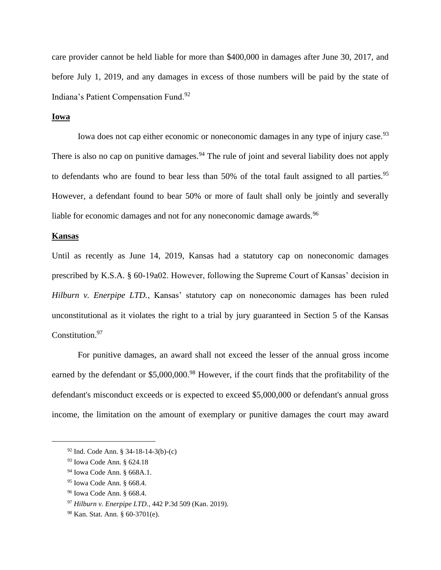care provider cannot be held liable for more than \$400,000 in damages after June 30, 2017, and before July 1, 2019, and any damages in excess of those numbers will be paid by the state of Indiana's Patient Compensation Fund.<sup>92</sup>

# **Iowa**

Iowa does not cap either economic or noneconomic damages in any type of injury case.<sup>93</sup> There is also no cap on punitive damages.<sup>94</sup> The rule of joint and several liability does not apply to defendants who are found to bear less than 50% of the total fault assigned to all parties.<sup>95</sup> However, a defendant found to bear 50% or more of fault shall only be jointly and severally liable for economic damages and not for any noneconomic damage awards.<sup>96</sup>

# **Kansas**

Until as recently as June 14, 2019, Kansas had a statutory cap on noneconomic damages prescribed by K.S.A. § 60-19a02. However, following the Supreme Court of Kansas' decision in *Hilburn v. Enerpipe LTD.*, Kansas' statutory cap on noneconomic damages has been ruled unconstitutional as it violates the right to a trial by jury guaranteed in Section 5 of the Kansas Constitution.<sup>97</sup>

For punitive damages, an award shall not exceed the lesser of the annual gross income earned by the defendant or \$5,000,000.<sup>98</sup> However, if the court finds that the profitability of the defendant's misconduct exceeds or is expected to exceed \$5,000,000 or defendant's annual gross income, the limitation on the amount of exemplary or punitive damages the court may award

<sup>92</sup> Ind. Code Ann. § 34-18-14-3(b)-(c)

<sup>93</sup> Iowa Code Ann. § 624.18

<sup>94</sup> Iowa Code Ann. § 668A.1.

<sup>95</sup> Iowa Code Ann. § 668.4.

<sup>96</sup> Iowa Code Ann. § 668.4.

<sup>97</sup> *Hilburn v. Enerpipe LTD.*, 442 P.3d 509 (Kan. 2019).

<sup>98</sup> Kan. Stat. Ann. § 60-3701(e).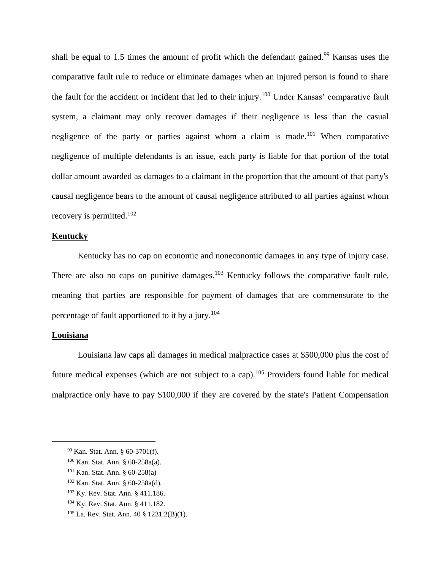shall be equal to 1.5 times the amount of profit which the defendant gained.<sup>99</sup> Kansas uses the comparative fault rule to reduce or eliminate damages when an injured person is found to share the fault for the accident or incident that led to their injury.<sup>100</sup> Under Kansas' comparative fault system, a claimant may only recover damages if their negligence is less than the casual negligence of the party or parties against whom a claim is made.<sup>101</sup> When comparative negligence of multiple defendants is an issue, each party is liable for that portion of the total dollar amount awarded as damages to a claimant in the proportion that the amount of that party's causal negligence bears to the amount of causal negligence attributed to all parties against whom recovery is permitted.<sup>102</sup>

#### **Kentucky**

Kentucky has no cap on economic and noneconomic damages in any type of injury case. There are also no caps on punitive damages. $103$  Kentucky follows the comparative fault rule, meaning that parties are responsible for payment of damages that are commensurate to the percentage of fault apportioned to it by a jury.<sup>104</sup>

# **Louisiana**

Louisiana law caps all damages in medical malpractice cases at \$500,000 plus the cost of future medical expenses (which are not subject to a cap).<sup>105</sup> Providers found liable for medical malpractice only have to pay \$100,000 if they are covered by the state's Patient Compensation

<sup>99</sup> Kan. Stat. Ann. § 60-3701(f).

<sup>100</sup> Kan. Stat. Ann. § 60-258a(a).

<sup>101</sup> Kan. Stat. Ann. § 60-258(a)

<sup>102</sup> Kan. Stat. Ann. § 60-258a(d).

<sup>103</sup> Ky. Rev. Stat. Ann. § 411.186.

<sup>104</sup> Ky. Rev. Stat. Ann. § 411.182.

<sup>105</sup> La. Rev. Stat. Ann. 40 § 1231.2(B)(1).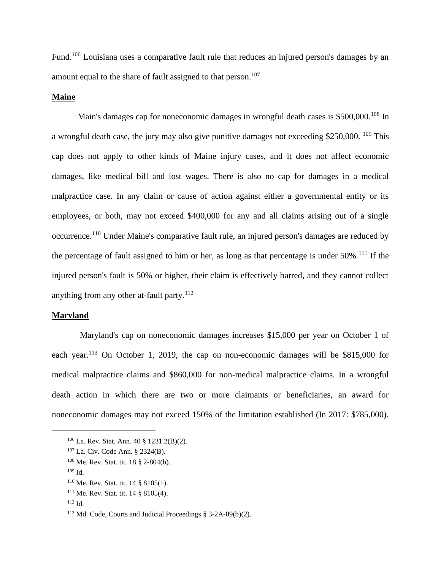Fund.<sup>106</sup> Louisiana uses a comparative fault rule that reduces an injured person's damages by an amount equal to the share of fault assigned to that person.<sup>107</sup>

# **Maine**

Main's damages cap for noneconomic damages in wrongful death cases is \$500,000.<sup>108</sup> In a wrongful death case, the jury may also give punitive damages not exceeding \$250,000. <sup>109</sup> This cap does not apply to other kinds of Maine injury cases, and it does not affect economic damages, like medical bill and lost wages. There is also no cap for damages in a medical malpractice case. In any claim or cause of action against either a governmental entity or its employees, or both, may not exceed \$400,000 for any and all claims arising out of a single occurrence.<sup>110</sup> Under Maine's comparative fault rule, an injured person's damages are reduced by the percentage of fault assigned to him or her, as long as that percentage is under  $50\%$ .<sup>111</sup> If the injured person's fault is 50% or higher, their claim is effectively barred, and they cannot collect anything from any other at-fault party.<sup>112</sup>

#### **Maryland**

Maryland's cap on noneconomic damages increases \$15,000 per year on October 1 of each year.<sup>113</sup> On October 1, 2019, the cap on non-economic damages will be \$815,000 for medical malpractice claims and \$860,000 for non-medical malpractice claims. In a wrongful death action in which there are two or more claimants or beneficiaries, an award for noneconomic damages may not exceed 150% of the limitation established (In 2017: \$785,000).

<sup>107</sup> La. Civ. Code Ann. § 2324(B).

<sup>106</sup> La. Rev. Stat. Ann. 40 § 1231.2(B)(2).

<sup>108</sup> Me. Rev. Stat. tit. 18 § 2-804(b).

 $109$  Id.

<sup>110</sup> Me. Rev. Stat. tit. 14 § 8105(1).

<sup>&</sup>lt;sup>111</sup> Me. Rev. Stat. tit. 14 § 8105(4).

 $112$  Id.

<sup>&</sup>lt;sup>113</sup> Md. Code, Courts and Judicial Proceedings  $§$  3-2A-09(b)(2).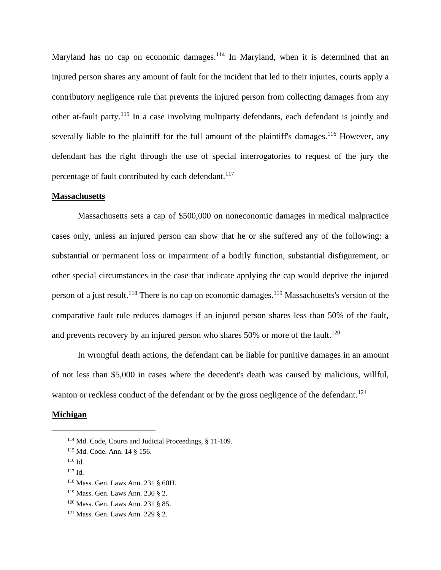Maryland has no cap on economic damages.<sup>114</sup> In Maryland, when it is determined that an injured person shares any amount of fault for the incident that led to their injuries, courts apply a contributory negligence rule that prevents the injured person from collecting damages from any other at-fault party.<sup>115</sup> In a case involving multiparty defendants, each defendant is jointly and severally liable to the plaintiff for the full amount of the plaintiff's damages.<sup>116</sup> However, any defendant has the right through the use of special interrogatories to request of the jury the percentage of fault contributed by each defendant.<sup>117</sup>

#### **Massachusetts**

Massachusetts sets a cap of \$500,000 on noneconomic damages in medical malpractice cases only, unless an injured person can show that he or she suffered any of the following: a substantial or permanent loss or impairment of a bodily function, substantial disfigurement, or other special circumstances in the case that indicate applying the cap would deprive the injured person of a just result.<sup>118</sup> There is no cap on economic damages.<sup>119</sup> Massachusetts's version of the comparative fault rule reduces damages if an injured person shares less than 50% of the fault, and prevents recovery by an injured person who shares  $50\%$  or more of the fault.<sup>120</sup>

In wrongful death actions, the defendant can be liable for punitive damages in an amount of not less than \$5,000 in cases where the decedent's death was caused by malicious, willful, wanton or reckless conduct of the defendant or by the gross negligence of the defendant.<sup>121</sup>

#### **Michigan**

- <sup>116</sup> Id.
- <sup>117</sup> Id.

<sup>114</sup> Md. Code, Courts and Judicial Proceedings, § 11-109.

<sup>115</sup> Md. Code. Ann. 14 § 156.

<sup>118</sup> Mass. Gen. Laws Ann. 231 § 60H.

<sup>119</sup> Mass. Gen. Laws Ann. 230 § 2.

<sup>120</sup> Mass. Gen. Laws Ann. 231 § 85.

<sup>121</sup> Mass. Gen. Laws Ann. 229 § 2.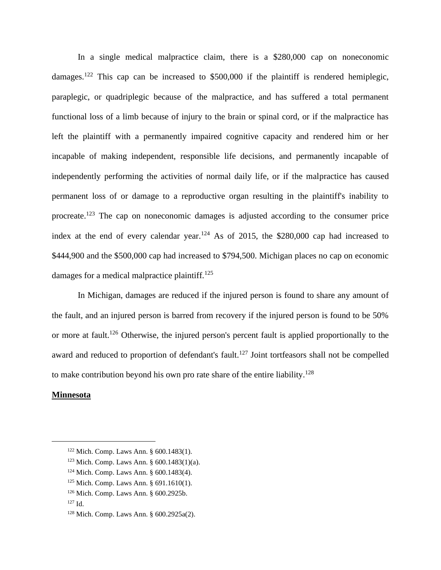In a single medical malpractice claim, there is a \$280,000 cap on noneconomic damages.<sup>122</sup> This cap can be increased to \$500,000 if the plaintiff is rendered hemiplegic, paraplegic, or quadriplegic because of the malpractice, and has suffered a total permanent functional loss of a limb because of injury to the brain or spinal cord, or if the malpractice has left the plaintiff with a permanently impaired cognitive capacity and rendered him or her incapable of making independent, responsible life decisions, and permanently incapable of independently performing the activities of normal daily life, or if the malpractice has caused permanent loss of or damage to a reproductive organ resulting in the plaintiff's inability to procreate.<sup>123</sup> The cap on noneconomic damages is adjusted according to the consumer price index at the end of every calendar year.<sup>124</sup> As of 2015, the \$280,000 cap had increased to \$444,900 and the \$500,000 cap had increased to \$794,500. Michigan places no cap on economic damages for a medical malpractice plaintiff.<sup>125</sup>

In Michigan, damages are reduced if the injured person is found to share any amount of the fault, and an injured person is barred from recovery if the injured person is found to be 50% or more at fault.<sup>126</sup> Otherwise, the injured person's percent fault is applied proportionally to the award and reduced to proportion of defendant's fault.<sup>127</sup> Joint tortfeasors shall not be compelled to make contribution beyond his own pro rate share of the entire liability.<sup>128</sup>

#### **Minnesota**

<sup>122</sup> Mich. Comp. Laws Ann. § 600.1483(1).

<sup>123</sup> Mich. Comp. Laws Ann. § 600.1483(1)(a).

<sup>124</sup> Mich. Comp. Laws Ann. § 600.1483(4).

<sup>125</sup> Mich. Comp. Laws Ann. § 691.1610(1).

<sup>126</sup> Mich. Comp. Laws Ann. § 600.2925b.

 $127$  Id.

<sup>128</sup> Mich. Comp. Laws Ann. § 600.2925a(2).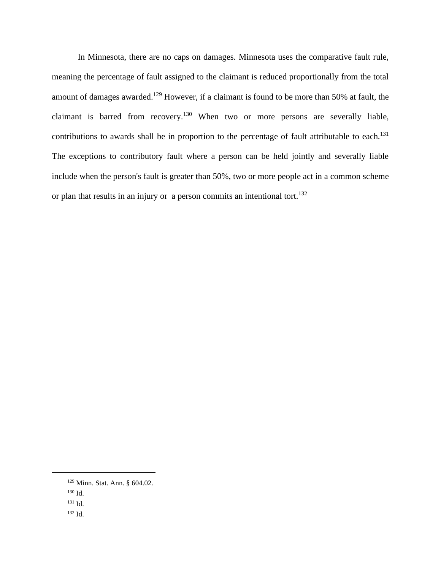In Minnesota, there are no caps on damages. Minnesota uses the comparative fault rule, meaning the percentage of fault assigned to the claimant is reduced proportionally from the total amount of damages awarded.<sup>129</sup> However, if a claimant is found to be more than 50% at fault, the claimant is barred from recovery.<sup>130</sup> When two or more persons are severally liable, contributions to awards shall be in proportion to the percentage of fault attributable to each.<sup>131</sup> The exceptions to contributory fault where a person can be held jointly and severally liable include when the person's fault is greater than 50%, two or more people act in a common scheme or plan that results in an injury or a person commits an intentional tort.<sup>132</sup>

<sup>129</sup> Minn. Stat. Ann. § 604.02.

<sup>130</sup> Id.

<sup>131</sup> Id.

<sup>132</sup> Id.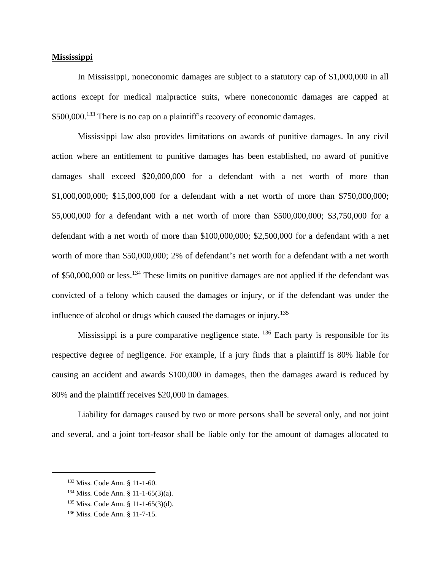#### **Mississippi**

In Mississippi, noneconomic damages are subject to a statutory cap of \$1,000,000 in all actions except for medical malpractice suits, where noneconomic damages are capped at \$500,000.<sup>133</sup> There is no cap on a plaintiff's recovery of economic damages.

Mississippi law also provides limitations on awards of punitive damages. In any civil action where an entitlement to punitive damages has been established, no award of punitive damages shall exceed \$20,000,000 for a defendant with a net worth of more than \$1,000,000,000; \$15,000,000 for a defendant with a net worth of more than \$750,000,000; \$5,000,000 for a defendant with a net worth of more than \$500,000,000; \$3,750,000 for a defendant with a net worth of more than \$100,000,000; \$2,500,000 for a defendant with a net worth of more than \$50,000,000; 2% of defendant's net worth for a defendant with a net worth of \$50,000,000 or less.<sup>134</sup> These limits on punitive damages are not applied if the defendant was convicted of a felony which caused the damages or injury, or if the defendant was under the influence of alcohol or drugs which caused the damages or injury.<sup>135</sup>

Mississippi is a pure comparative negligence state.  $^{136}$  Each party is responsible for its respective degree of negligence. For example, if a jury finds that a plaintiff is 80% liable for causing an accident and awards \$100,000 in damages, then the damages award is reduced by 80% and the plaintiff receives \$20,000 in damages.

Liability for damages caused by two or more persons shall be several only, and not joint and several, and a joint tort-feasor shall be liable only for the amount of damages allocated to

<sup>133</sup> Miss. Code Ann. § 11-1-60.

<sup>134</sup> Miss. Code Ann. § 11-1-65(3)(a).

<sup>135</sup> Miss. Code Ann. § 11-1-65(3)(d).

<sup>136</sup> Miss. Code Ann. § 11-7-15.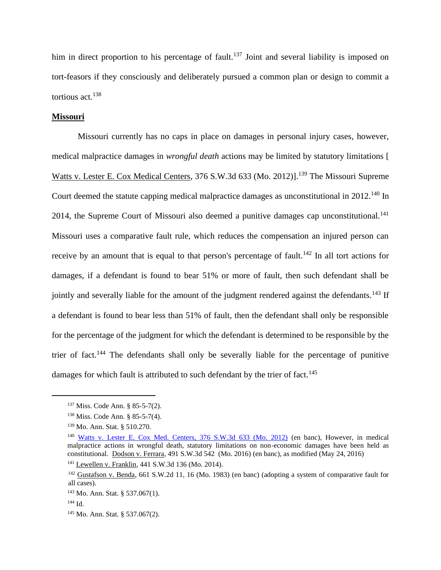him in direct proportion to his percentage of fault.<sup>137</sup> Joint and several liability is imposed on tort-feasors if they consciously and deliberately pursued a common plan or design to commit a tortious act.<sup>138</sup>

#### **Missouri**

Missouri currently has no caps in place on damages in personal injury cases, however, medical malpractice damages in *wrongful death* actions may be limited by statutory limitations [ Watts v. Lester E. Cox Medical Centers, 376 S.W.3d 633 (Mo. 2012)].<sup>139</sup> The Missouri Supreme Court deemed the statute capping medical malpractice damages as unconstitutional in 2012.<sup>140</sup> In 2014, the Supreme Court of Missouri also deemed a punitive damages cap unconstitutional.<sup>141</sup> Missouri uses a comparative fault rule, which reduces the compensation an injured person can receive by an amount that is equal to that person's percentage of fault.<sup>142</sup> In all tort actions for damages, if a defendant is found to bear 51% or more of fault, then such defendant shall be jointly and severally liable for the amount of the judgment rendered against the defendants.<sup>143</sup> If a defendant is found to bear less than 51% of fault, then the defendant shall only be responsible for the percentage of the judgment for which the defendant is determined to be responsible by the trier of fact.<sup>144</sup> The defendants shall only be severally liable for the percentage of punitive damages for which fault is attributed to such defendant by the trier of fact.<sup>145</sup>

<sup>137</sup> Miss. Code Ann. § 85-5-7(2).

<sup>138</sup> Miss. Code Ann. § 85-5-7(4).

<sup>139</sup> Mo. Ann. Stat. § 510.270.

<sup>140</sup> Watts v. Lester E. Cox Med. [Centers, 376 S.W.3d 633 \(Mo. 2012\)](https://1.next.westlaw.com/Link/Document/FullText?findType=Y&serNum=2028320304&pubNum=0004644&originatingDoc=I9e22e1ef189911dabd86d8873926b085&refType=RP&originationContext=document&transitionType=DocumentItem&contextData=(sc.Search)) (en banc), However, in medical malpractice actions in wrongful death, statutory limitations on non-economic damages have been held as constitutional. Dodson v. Ferrara, 491 S.W.3d 542 (Mo. 2016) (en banc), as modified (May 24, 2016)

<sup>141</sup> Lewellen v. Franklin, 441 S.W.3d 136 (Mo. 2014).

<sup>142</sup> Gustafson v. Benda, 661 S.W.2d 11, 16 (Mo. 1983) (en banc) (adopting a system of comparative fault for all cases).

<sup>143</sup> Mo. Ann. Stat. § 537.067(1).

<sup>144</sup> Id.

<sup>145</sup> Mo. Ann. Stat. § 537.067(2).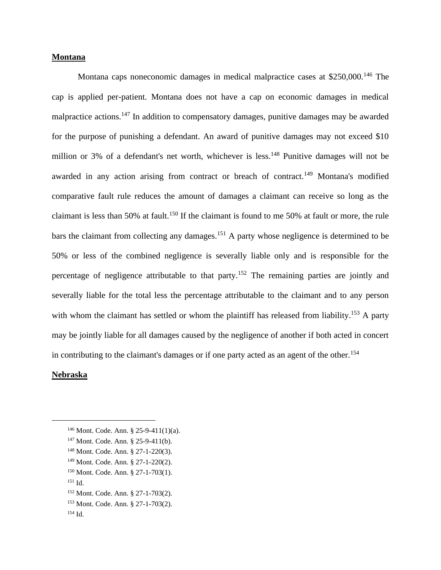# **Montana**

Montana caps noneconomic damages in medical malpractice cases at \$250,000.<sup>146</sup> The cap is applied per-patient. Montana does not have a cap on economic damages in medical malpractice actions.<sup>147</sup> In addition to compensatory damages, punitive damages may be awarded for the purpose of punishing a defendant. An award of punitive damages may not exceed \$10 million or 3% of a defendant's net worth, whichever is less.<sup>148</sup> Punitive damages will not be awarded in any action arising from contract or breach of contract.<sup>149</sup> Montana's modified comparative fault rule reduces the amount of damages a claimant can receive so long as the claimant is less than 50% at fault.<sup>150</sup> If the claimant is found to me 50% at fault or more, the rule bars the claimant from collecting any damages.<sup>151</sup> A party whose negligence is determined to be 50% or less of the combined negligence is severally liable only and is responsible for the percentage of negligence attributable to that party.<sup>152</sup> The remaining parties are jointly and severally liable for the total less the percentage attributable to the claimant and to any person with whom the claimant has settled or whom the plaintiff has released from liability.<sup>153</sup> A party may be jointly liable for all damages caused by the negligence of another if both acted in concert in contributing to the claimant's damages or if one party acted as an agent of the other.<sup>154</sup>

## **Nebraska**

<sup>146</sup> Mont. Code. Ann. § 25-9-411(1)(a).

<sup>147</sup> Mont. Code. Ann. § 25-9-411(b).

<sup>148</sup> Mont. Code. Ann. § 27-1-220(3).

<sup>149</sup> Mont. Code. Ann. § 27-1-220(2).

<sup>150</sup> Mont. Code. Ann. § 27-1-703(1).

<sup>151</sup> Id.

<sup>152</sup> Mont. Code. Ann. § 27-1-703(2).

<sup>153</sup> Mont. Code. Ann. § 27-1-703(2).

 $154 \text{ Id}$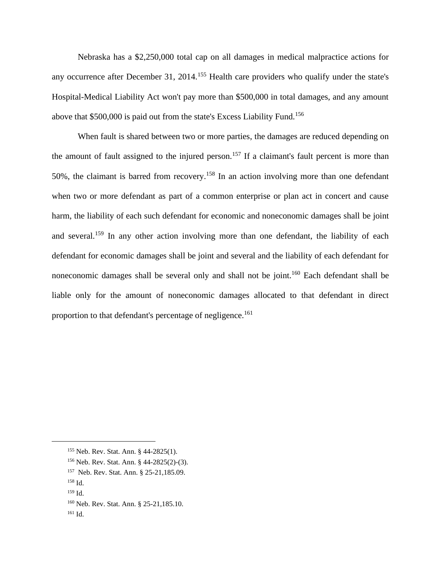Nebraska has a \$2,250,000 total cap on all damages in medical malpractice actions for any occurrence after December 31, 2014.<sup>155</sup> Health care providers who qualify under the state's Hospital-Medical Liability Act won't pay more than \$500,000 in total damages, and any amount above that \$500,000 is paid out from the state's Excess Liability Fund.<sup>156</sup>

When fault is shared between two or more parties, the damages are reduced depending on the amount of fault assigned to the injured person.<sup>157</sup> If a claimant's fault percent is more than 50%, the claimant is barred from recovery.<sup>158</sup> In an action involving more than one defendant when two or more defendant as part of a common enterprise or plan act in concert and cause harm, the liability of each such defendant for economic and noneconomic damages shall be joint and several.<sup>159</sup> In any other action involving more than one defendant, the liability of each defendant for economic damages shall be joint and several and the liability of each defendant for noneconomic damages shall be several only and shall not be joint.<sup>160</sup> Each defendant shall be liable only for the amount of noneconomic damages allocated to that defendant in direct proportion to that defendant's percentage of negligence.<sup>161</sup>

- <sup>156</sup> Neb. Rev. Stat. Ann. § 44-2825(2)-(3).
- 157 Neb. Rev. Stat. Ann. § 25-21,185.09.
- <sup>158</sup> Id.
- <sup>159</sup> Id.

 $161 \text{ Id}$ 

<sup>155</sup> Neb. Rev. Stat. Ann. § 44-2825(1).

<sup>160</sup> Neb. Rev. Stat. Ann. § 25-21,185.10.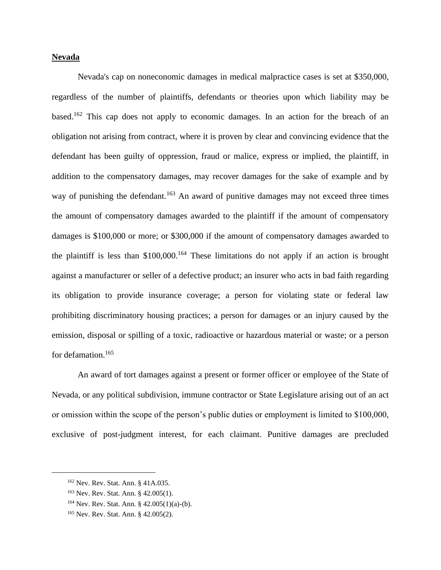# **Nevada**

Nevada's cap on noneconomic damages in medical malpractice cases is set at \$350,000, regardless of the number of plaintiffs, defendants or theories upon which liability may be based.<sup>162</sup> This cap does not apply to economic damages. In an action for the breach of an obligation not arising from contract, where it is proven by clear and convincing evidence that the defendant has been guilty of oppression, fraud or malice, express or implied, the plaintiff, in addition to the compensatory damages, may recover damages for the sake of example and by way of punishing the defendant.<sup>163</sup> An award of punitive damages may not exceed three times the amount of compensatory damages awarded to the plaintiff if the amount of compensatory damages is \$100,000 or more; or \$300,000 if the amount of compensatory damages awarded to the plaintiff is less than  $$100,000$ .<sup>164</sup> These limitations do not apply if an action is brought against a manufacturer or seller of a defective product; an insurer who acts in bad faith regarding its obligation to provide insurance coverage; a person for violating state or federal law prohibiting discriminatory housing practices; a person for damages or an injury caused by the emission, disposal or spilling of a toxic, radioactive or hazardous material or waste; or a person for defamation.<sup>165</sup>

An award of tort damages against a present or former officer or employee of the State of Nevada, or any political subdivision, immune contractor or State Legislature arising out of an act or omission within the scope of the person's public duties or employment is limited to \$100,000, exclusive of post-judgment interest, for each claimant. Punitive damages are precluded

<sup>162</sup> Nev. Rev. Stat. Ann. § 41A.035.

<sup>163</sup> Nev. Rev. Stat. Ann. § 42.005(1).

<sup>164</sup> Nev. Rev. Stat. Ann. § 42.005(1)(a)-(b).

<sup>165</sup> Nev. Rev. Stat. Ann. § 42.005(2).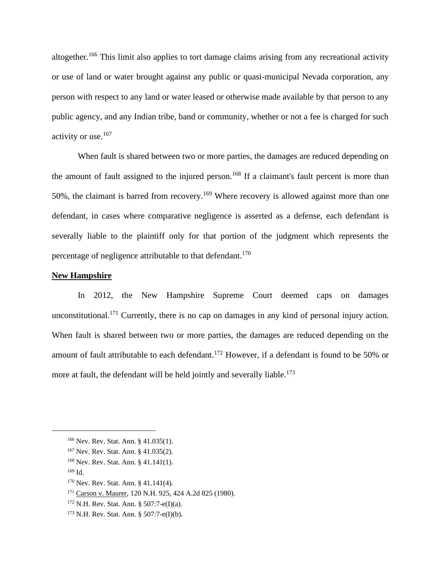altogether.<sup>166</sup> This limit also applies to tort damage claims arising from any recreational activity or use of land or water brought against any public or quasi-municipal Nevada corporation, any person with respect to any land or water leased or otherwise made available by that person to any public agency, and any Indian tribe, band or community, whether or not a fee is charged for such activity or use.<sup>167</sup>

When fault is shared between two or more parties, the damages are reduced depending on the amount of fault assigned to the injured person.<sup>168</sup> If a claimant's fault percent is more than 50%, the claimant is barred from recovery.<sup>169</sup> Where recovery is allowed against more than one defendant, in cases where comparative negligence is asserted as a defense, each defendant is severally liable to the plaintiff only for that portion of the judgment which represents the percentage of negligence attributable to that defendant.<sup>170</sup>

# **New Hampshire**

In 2012, the New Hampshire Supreme Court deemed caps on damages unconstitutional.<sup>171</sup> Currently, there is no cap on damages in any kind of personal injury action. When fault is shared between two or more parties, the damages are reduced depending on the amount of fault attributable to each defendant.<sup>172</sup> However, if a defendant is found to be 50% or more at fault, the defendant will be held jointly and severally liable.<sup>173</sup>

<sup>166</sup> Nev. Rev. Stat. Ann. § 41.035(1).

<sup>167</sup> Nev. Rev. Stat. Ann. § 41.035(2).

<sup>168</sup> Nev. Rev. Stat. Ann. § 41.141(1).

<sup>169</sup> Id.

<sup>&</sup>lt;sup>170</sup> Nev. Rev. Stat. Ann. § 41.141(4).

<sup>171</sup> Carson v. Maurer, 120 N.H. 925, 424 A.2d 825 (1980).

<sup>172</sup> N.H. Rev. Stat. Ann. § 507:7-e(I)(a).

<sup>173</sup> N.H. Rev. Stat. Ann. § 507:7-e(I)(b).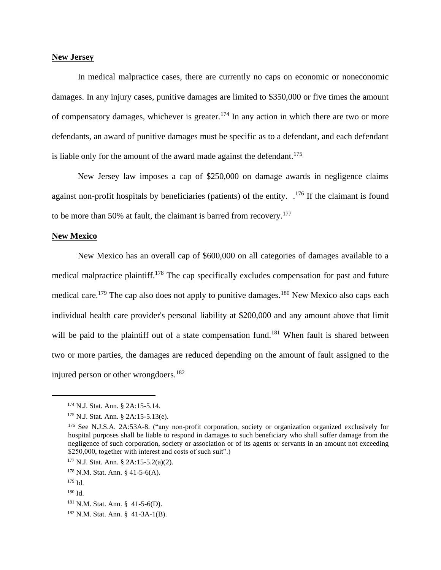# **New Jersey**

In medical malpractice cases, there are currently no caps on economic or noneconomic damages. In any injury cases, punitive damages are limited to \$350,000 or five times the amount of compensatory damages, whichever is greater.<sup>174</sup> In any action in which there are two or more defendants, an award of punitive damages must be specific as to a defendant, and each defendant is liable only for the amount of the award made against the defendant.<sup>175</sup>

New Jersey law imposes a cap of \$250,000 on damage awards in negligence claims against non-profit hospitals by beneficiaries (patients) of the entity. .<sup>176</sup> If the claimant is found to be more than 50% at fault, the claimant is barred from recovery.<sup>177</sup>

## **New Mexico**

New Mexico has an overall cap of \$600,000 on all categories of damages available to a medical malpractice plaintiff.<sup>178</sup> The cap specifically excludes compensation for past and future medical care.<sup>179</sup> The cap also does not apply to punitive damages.<sup>180</sup> New Mexico also caps each individual health care provider's personal liability at \$200,000 and any amount above that limit will be paid to the plaintiff out of a state compensation fund.<sup>181</sup> When fault is shared between two or more parties, the damages are reduced depending on the amount of fault assigned to the injured person or other wrongdoers.<sup>182</sup>

<sup>174</sup> N.J. Stat. Ann. § 2A:15-5.14.

<sup>175</sup> N.J. Stat. Ann. § 2A:15-5.13(e).

<sup>176</sup> See N.J.S.A. 2A:53A-8. ("any non-profit corporation, society or organization organized exclusively for hospital purposes shall be liable to respond in damages to such beneficiary who shall suffer damage from the negligence of such corporation, society or association or of its agents or servants in an amount not exceeding \$250,000, together with interest and costs of such suit".)

<sup>177</sup> N.J. Stat. Ann. § 2A:15-5.2(a)(2).

<sup>178</sup> N.M. Stat. Ann. § 41-5-6(A).

<sup>179</sup> Id.

<sup>180</sup> Id.

<sup>181</sup> N.M. Stat. Ann. § 41-5-6(D).

<sup>182</sup> N.M. Stat. Ann. § 41-3A-1(B).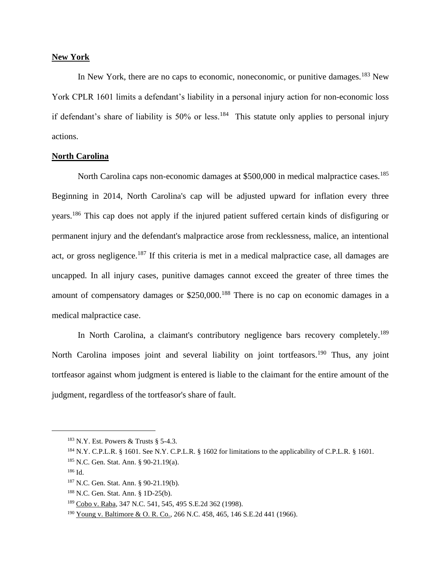# **New York**

In New York, there are no caps to economic, noneconomic, or punitive damages.<sup>183</sup> New York CPLR 1601 limits a defendant's liability in a personal injury action for non-economic loss if defendant's share of liability is  $50\%$  or less.<sup>184</sup> This statute only applies to personal injury actions.

## **North Carolina**

North Carolina caps non-economic damages at \$500,000 in medical malpractice cases.<sup>185</sup> Beginning in 2014, North Carolina's cap will be adjusted upward for inflation every three years. <sup>186</sup> This cap does not apply if the injured patient suffered certain kinds of disfiguring or permanent injury and the defendant's malpractice arose from recklessness, malice, an intentional act, or gross negligence.<sup>187</sup> If this criteria is met in a medical malpractice case, all damages are uncapped. In all injury cases, punitive damages cannot exceed the greater of three times the amount of compensatory damages or \$250,000.<sup>188</sup> There is no cap on economic damages in a medical malpractice case.

In North Carolina, a claimant's contributory negligence bars recovery completely.<sup>189</sup> North Carolina imposes joint and several liability on joint tortfeasors.<sup>190</sup> Thus, any joint tortfeasor against whom judgment is entered is liable to the claimant for the entire amount of the judgment, regardless of the tortfeasor's share of fault.

<sup>183</sup> N.Y. Est. Powers & Trusts § 5-4.3.

<sup>&</sup>lt;sup>184</sup> N.Y. C.P.L.R. § 1601. See N.Y. C.P.L.R. § 1602 for limitations to the applicability of C.P.L.R. § 1601.

<sup>185</sup> N.C. Gen. Stat. Ann. § 90-21.19(a).

<sup>186</sup> Id.

<sup>187</sup> N.C. Gen. Stat. Ann. § 90-21.19(b).

<sup>188</sup> N.C. Gen. Stat. Ann. § 1D-25(b).

<sup>189</sup> Cobo v. Raba, 347 N.C. 541, 545, 495 S.E.2d 362 (1998).

<sup>&</sup>lt;sup>190</sup> Young v. Baltimore & O. R. Co., 266 N.C. 458, 465, 146 S.E.2d 441 (1966).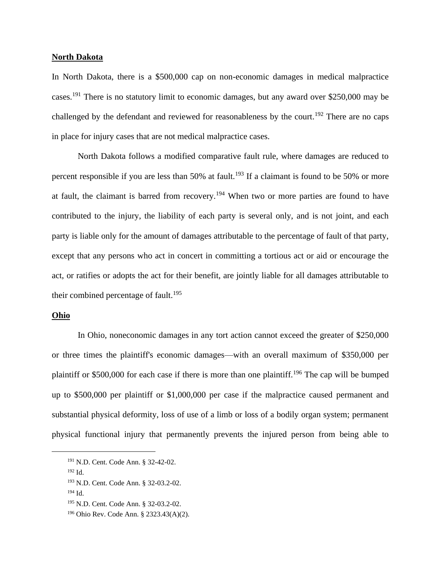# **North Dakota**

In North Dakota, there is a \$500,000 cap on non-economic damages in medical malpractice cases.<sup>191</sup> There is no statutory limit to economic damages, but any award over \$250,000 may be challenged by the defendant and reviewed for reasonableness by the court.<sup>192</sup> There are no caps in place for injury cases that are not medical malpractice cases.

North Dakota follows a modified comparative fault rule, where damages are reduced to percent responsible if you are less than 50% at fault.<sup>193</sup> If a claimant is found to be 50% or more at fault, the claimant is barred from recovery.<sup>194</sup> When two or more parties are found to have contributed to the injury, the liability of each party is several only, and is not joint, and each party is liable only for the amount of damages attributable to the percentage of fault of that party, except that any persons who act in concert in committing a tortious act or aid or encourage the act, or ratifies or adopts the act for their benefit, are jointly liable for all damages attributable to their combined percentage of fault.<sup>195</sup>

#### **Ohio**

In Ohio, noneconomic damages in any tort action cannot exceed the greater of \$250,000 or three times the plaintiff's economic damages—with an overall maximum of \$350,000 per plaintiff or \$500,000 for each case if there is more than one plaintiff.<sup>196</sup> The cap will be bumped up to \$500,000 per plaintiff or \$1,000,000 per case if the malpractice caused permanent and substantial physical deformity, loss of use of a limb or loss of a bodily organ system; permanent physical functional injury that permanently prevents the injured person from being able to

<sup>194</sup> Id.

<sup>191</sup> N.D. Cent. Code Ann. § 32-42-02.

<sup>192</sup> Id.

<sup>193</sup> N.D. Cent. Code Ann. § 32-03.2-02.

<sup>195</sup> N.D. Cent. Code Ann. § 32-03.2-02.

<sup>196</sup> Ohio Rev. Code Ann. § 2323.43(A)(2).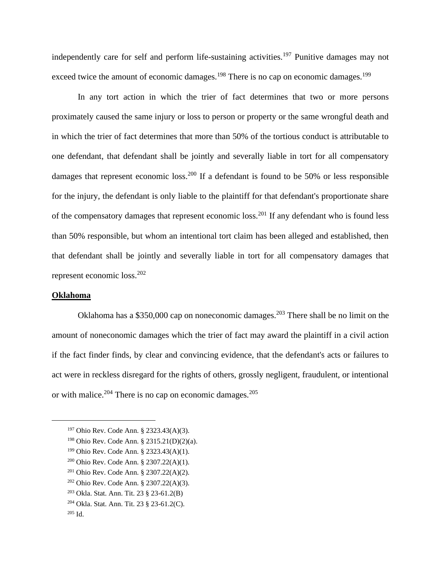independently care for self and perform life-sustaining activities.<sup>197</sup> Punitive damages may not exceed twice the amount of economic damages.<sup>198</sup> There is no cap on economic damages.<sup>199</sup>

In any tort action in which the trier of fact determines that two or more persons proximately caused the same injury or loss to person or property or the same wrongful death and in which the trier of fact determines that more than 50% of the tortious conduct is attributable to one defendant, that defendant shall be jointly and severally liable in tort for all compensatory damages that represent economic loss.<sup>200</sup> If a defendant is found to be 50% or less responsible for the injury, the defendant is only liable to the plaintiff for that defendant's proportionate share of the compensatory damages that represent economic loss.<sup>201</sup> If any defendant who is found less than 50% responsible, but whom an intentional tort claim has been alleged and established, then that defendant shall be jointly and severally liable in tort for all compensatory damages that represent economic loss.<sup>202</sup>

#### **Oklahoma**

Oklahoma has a \$350,000 cap on noneconomic damages.<sup>203</sup> There shall be no limit on the amount of noneconomic damages which the trier of fact may award the plaintiff in a civil action if the fact finder finds, by clear and convincing evidence, that the defendant's acts or failures to act were in reckless disregard for the rights of others, grossly negligent, fraudulent, or intentional or with malice.<sup>204</sup> There is no cap on economic damages.<sup>205</sup>

<sup>197</sup> Ohio Rev. Code Ann. § 2323.43(A)(3).

<sup>198</sup> Ohio Rev. Code Ann. § 2315.21(D)(2)(a).

<sup>199</sup> Ohio Rev. Code Ann. § 2323.43(A)(1).

<sup>200</sup> Ohio Rev. Code Ann. § 2307.22(A)(1).

<sup>201</sup> Ohio Rev. Code Ann. § 2307.22(A)(2).

<sup>202</sup> Ohio Rev. Code Ann. § 2307.22(A)(3).

<sup>203</sup> Okla. Stat. Ann. Tit. 23 § 23-61.2(B)

<sup>204</sup> Okla. Stat. Ann. Tit. 23 § 23-61.2(C).

 $205$  Id.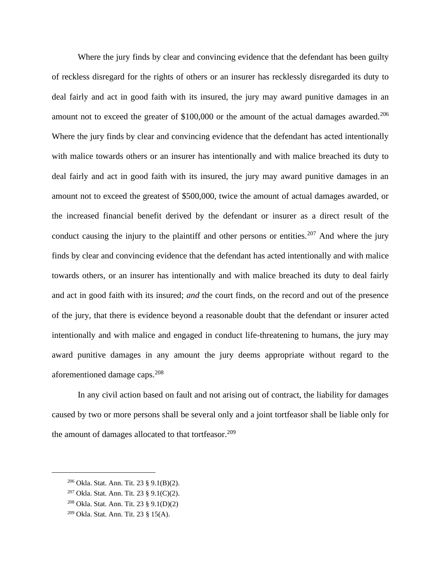Where the jury finds by clear and convincing evidence that the defendant has been guilty of reckless disregard for the rights of others or an insurer has recklessly disregarded its duty to deal fairly and act in good faith with its insured, the jury may award punitive damages in an amount not to exceed the greater of  $$100,000$  or the amount of the actual damages awarded.<sup>206</sup> Where the jury finds by clear and convincing evidence that the defendant has acted intentionally with malice towards others or an insurer has intentionally and with malice breached its duty to deal fairly and act in good faith with its insured, the jury may award punitive damages in an amount not to exceed the greatest of \$500,000, twice the amount of actual damages awarded, or the increased financial benefit derived by the defendant or insurer as a direct result of the conduct causing the injury to the plaintiff and other persons or entities.<sup>207</sup> And where the jury finds by clear and convincing evidence that the defendant has acted intentionally and with malice towards others, or an insurer has intentionally and with malice breached its duty to deal fairly and act in good faith with its insured; *and* the court finds, on the record and out of the presence of the jury, that there is evidence beyond a reasonable doubt that the defendant or insurer acted intentionally and with malice and engaged in conduct life-threatening to humans, the jury may award punitive damages in any amount the jury deems appropriate without regard to the aforementioned damage caps.<sup>208</sup>

In any civil action based on fault and not arising out of contract, the liability for damages caused by two or more persons shall be several only and a joint tortfeasor shall be liable only for the amount of damages allocated to that tortfeasor.<sup>209</sup>

<sup>206</sup> Okla. Stat. Ann. Tit. 23 § 9.1(B)(2).

<sup>207</sup> Okla. Stat. Ann. Tit. 23 § 9.1(C)(2).

<sup>208</sup> Okla. Stat. Ann. Tit. 23 § 9.1(D)(2)

<sup>209</sup> Okla. Stat. Ann. Tit. 23 § 15(A).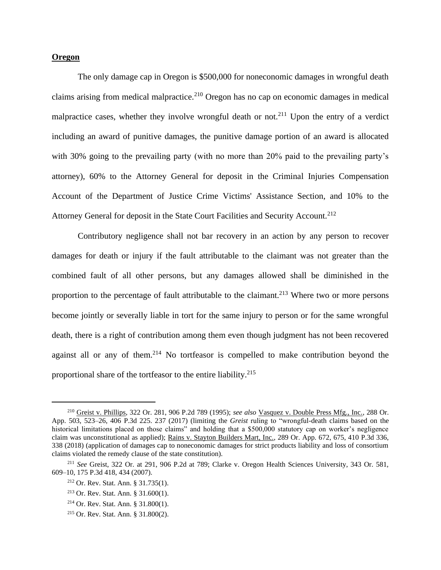# **Oregon**

The only damage cap in Oregon is \$500,000 for noneconomic damages in wrongful death claims arising from medical malpractice.<sup>210</sup> Oregon has no cap on economic damages in medical malpractice cases, whether they involve wrongful death or not.<sup>211</sup> Upon the entry of a verdict including an award of punitive damages, the punitive damage portion of an award is allocated with 30% going to the prevailing party (with no more than 20% paid to the prevailing party's attorney), 60% to the Attorney General for deposit in the Criminal Injuries Compensation Account of the Department of Justice Crime Victims' Assistance Section, and 10% to the Attorney General for deposit in the State Court Facilities and Security Account.<sup>212</sup>

Contributory negligence shall not bar recovery in an action by any person to recover damages for death or injury if the fault attributable to the claimant was not greater than the combined fault of all other persons, but any damages allowed shall be diminished in the proportion to the percentage of fault attributable to the claimant.<sup>213</sup> Where two or more persons become jointly or severally liable in tort for the same injury to person or for the same wrongful death, there is a right of contribution among them even though judgment has not been recovered against all or any of them.<sup>214</sup> No tortfeasor is compelled to make contribution beyond the proportional share of the tortfeasor to the entire liability.<sup>215</sup>

<sup>210</sup> Greist v. Phillips, 322 Or. 281, 906 P.2d 789 (1995); *see also* Vasquez v. Double Press Mfg., Inc., 288 Or. App. 503, 523–26, 406 P.3d 225. 237 (2017) (limiting the *Greist* ruling to "wrongful-death claims based on the historical limitations placed on those claims" and holding that a \$500,000 statutory cap on worker's negligence claim was unconstitutional as applied); Rains v. Stayton Builders Mart, Inc., 289 Or. App. 672, 675, 410 P.3d 336, 338 (2018) (application of damages cap to noneconomic damages for strict products liability and loss of consortium claims violated the remedy clause of the state constitution).

<sup>211</sup> *See* Greist, 322 Or. at 291, 906 P.2d at 789; Clarke v. Oregon Health Sciences University, 343 Or. 581, 609–10, 175 P.3d 418, 434 (2007).

<sup>212</sup> Or. Rev. Stat. Ann. § 31.735(1).

<sup>213</sup> Or. Rev. Stat. Ann. § 31.600(1).

<sup>214</sup> Or. Rev. Stat. Ann. § 31.800(1).

<sup>215</sup> Or. Rev. Stat. Ann. § 31.800(2).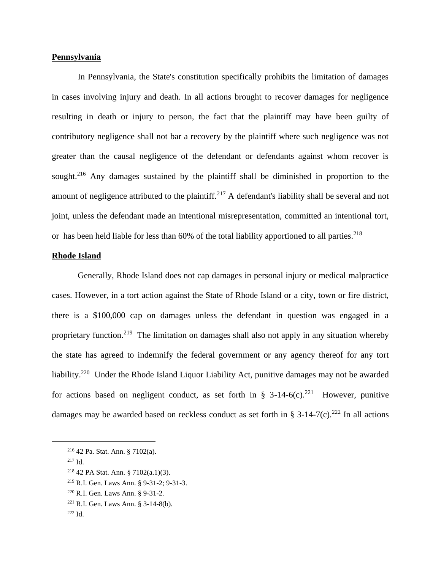## **Pennsylvania**

In Pennsylvania, the State's constitution specifically prohibits the limitation of damages in cases involving injury and death. In all actions brought to recover damages for negligence resulting in death or injury to person, the fact that the plaintiff may have been guilty of contributory negligence shall not bar a recovery by the plaintiff where such negligence was not greater than the causal negligence of the defendant or defendants against whom recover is sought.<sup>216</sup> Any damages sustained by the plaintiff shall be diminished in proportion to the amount of negligence attributed to the plaintiff.<sup>217</sup> A defendant's liability shall be several and not joint, unless the defendant made an intentional misrepresentation, committed an intentional tort, or has been held liable for less than 60% of the total liability apportioned to all parties.<sup>218</sup>

# **Rhode Island**

Generally, Rhode Island does not cap damages in personal injury or medical malpractice cases. However, in a tort action against the State of Rhode Island or a city, town or fire district, there is a \$100,000 cap on damages unless the defendant in question was engaged in a proprietary function.<sup>219</sup> The limitation on damages shall also not apply in any situation whereby the state has agreed to indemnify the federal government or any agency thereof for any tort liability.<sup>220</sup> Under the Rhode Island Liquor Liability Act, punitive damages may not be awarded for actions based on negligent conduct, as set forth in § 3-14-6(c).<sup>221</sup> However, punitive damages may be awarded based on reckless conduct as set forth in § 3-14-7(c).<sup>222</sup> In all actions

<sup>221</sup> R.I. Gen. Laws Ann. § 3-14-8(b).

<sup>216</sup> 42 Pa. Stat. Ann. § 7102(a).

<sup>217</sup> Id.

<sup>218</sup> 42 PA Stat. Ann. § 7102(a.1)(3).

<sup>219</sup> R.I. Gen. Laws Ann. § 9-31-2; 9-31-3.

<sup>220</sup> R.I. Gen. Laws Ann. § 9-31-2.

 $222 \text{ Id}$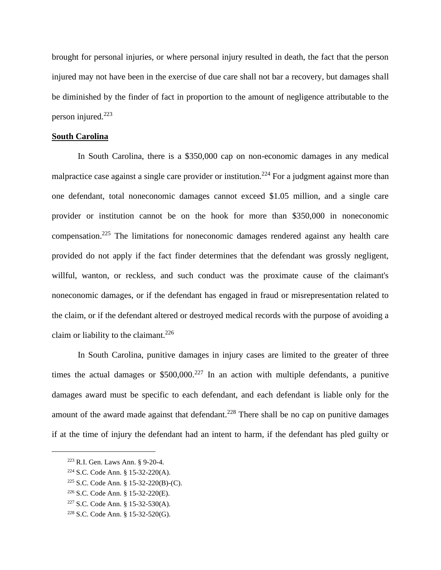brought for personal injuries, or where personal injury resulted in death, the fact that the person injured may not have been in the exercise of due care shall not bar a recovery, but damages shall be diminished by the finder of fact in proportion to the amount of negligence attributable to the person injured.<sup>223</sup>

# **South Carolina**

In South Carolina, there is a \$350,000 cap on non-economic damages in any medical malpractice case against a single care provider or institution.<sup>224</sup> For a judgment against more than one defendant, total noneconomic damages cannot exceed \$1.05 million, and a single care provider or institution cannot be on the hook for more than \$350,000 in noneconomic compensation.<sup>225</sup> The limitations for noneconomic damages rendered against any health care provided do not apply if the fact finder determines that the defendant was grossly negligent, willful, wanton, or reckless, and such conduct was the proximate cause of the claimant's noneconomic damages, or if the defendant has engaged in fraud or misrepresentation related to the claim, or if the defendant altered or destroyed medical records with the purpose of avoiding a claim or liability to the claimant. $226$ 

In South Carolina, punitive damages in injury cases are limited to the greater of three times the actual damages or  $$500,000.<sup>227</sup>$  In an action with multiple defendants, a punitive damages award must be specific to each defendant, and each defendant is liable only for the amount of the award made against that defendant.<sup>228</sup> There shall be no cap on punitive damages if at the time of injury the defendant had an intent to harm, if the defendant has pled guilty or

<sup>226</sup> S.C. Code Ann. § 15-32-220(E).

<sup>223</sup> R.I. Gen. Laws Ann. § 9-20-4.

<sup>224</sup> S.C. Code Ann. § 15-32-220(A).

<sup>225</sup> S.C. Code Ann. § 15-32-220(B)-(C).

<sup>227</sup> S.C. Code Ann. § 15-32-530(A).

<sup>228</sup> S.C. Code Ann. § 15-32-520(G).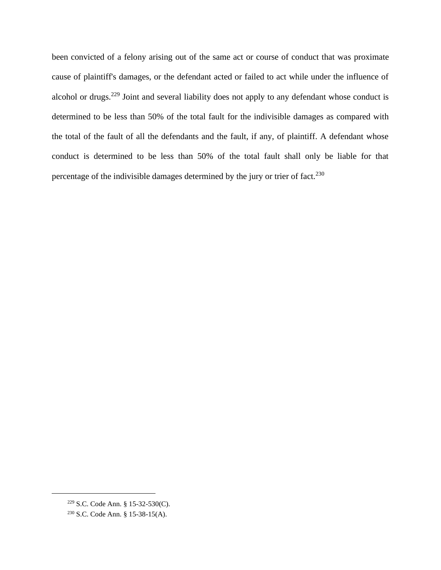been convicted of a felony arising out of the same act or course of conduct that was proximate cause of plaintiff's damages, or the defendant acted or failed to act while under the influence of alcohol or drugs.<sup>229</sup> Joint and several liability does not apply to any defendant whose conduct is determined to be less than 50% of the total fault for the indivisible damages as compared with the total of the fault of all the defendants and the fault, if any, of plaintiff. A defendant whose conduct is determined to be less than 50% of the total fault shall only be liable for that percentage of the indivisible damages determined by the jury or trier of fact.<sup>230</sup>

<sup>229</sup> S.C. Code Ann. § 15-32-530(C).

<sup>230</sup> S.C. Code Ann. § 15-38-15(A).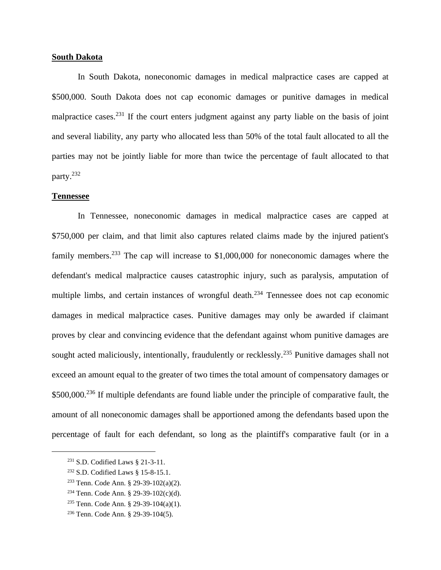## **South Dakota**

In South Dakota, noneconomic damages in medical malpractice cases are capped at \$500,000. South Dakota does not cap economic damages or punitive damages in medical malpractice cases.<sup>231</sup> If the court enters judgment against any party liable on the basis of joint and several liability, any party who allocated less than 50% of the total fault allocated to all the parties may not be jointly liable for more than twice the percentage of fault allocated to that party.<sup>232</sup>

#### **Tennessee**

In Tennessee, noneconomic damages in medical malpractice cases are capped at \$750,000 per claim, and that limit also captures related claims made by the injured patient's family members.<sup>233</sup> The cap will increase to \$1,000,000 for noneconomic damages where the defendant's medical malpractice causes catastrophic injury, such as paralysis, amputation of multiple limbs, and certain instances of wrongful death.<sup>234</sup> Tennessee does not cap economic damages in medical malpractice cases. Punitive damages may only be awarded if claimant proves by clear and convincing evidence that the defendant against whom punitive damages are sought acted maliciously, intentionally, fraudulently or recklessly.<sup>235</sup> Punitive damages shall not exceed an amount equal to the greater of two times the total amount of compensatory damages or \$500,000.<sup>236</sup> If multiple defendants are found liable under the principle of comparative fault, the amount of all noneconomic damages shall be apportioned among the defendants based upon the percentage of fault for each defendant, so long as the plaintiff's comparative fault (or in a

<sup>231</sup> S.D. Codified Laws § 21-3-11.

<sup>232</sup> S.D. Codified Laws § 15-8-15.1.

<sup>233</sup> Tenn. Code Ann. § 29-39-102(a)(2).

<sup>234</sup> Tenn. Code Ann. § 29-39-102(c)(d).

<sup>235</sup> Tenn. Code Ann. § 29-39-104(a)(1).

<sup>236</sup> Tenn. Code Ann. § 29-39-104(5).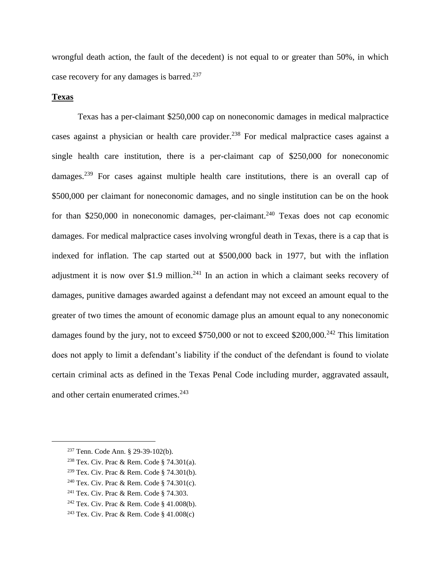wrongful death action, the fault of the decedent) is not equal to or greater than 50%, in which case recovery for any damages is barred.<sup>237</sup>

# **Texas**

Texas has a per-claimant \$250,000 cap on noneconomic damages in medical malpractice cases against a physician or health care provider.<sup>238</sup> For medical malpractice cases against a single health care institution, there is a per-claimant cap of \$250,000 for noneconomic damages.<sup>239</sup> For cases against multiple health care institutions, there is an overall cap of \$500,000 per claimant for noneconomic damages, and no single institution can be on the hook for than \$250,000 in noneconomic damages, per-claimant.<sup>240</sup> Texas does not cap economic damages. For medical malpractice cases involving wrongful death in Texas, there is a cap that is indexed for inflation. The cap started out at \$500,000 back in 1977, but with the inflation adjustment it is now over \$1.9 million.<sup>241</sup> In an action in which a claimant seeks recovery of damages, punitive damages awarded against a defendant may not exceed an amount equal to the greater of two times the amount of economic damage plus an amount equal to any noneconomic damages found by the jury, not to exceed \$750,000 or not to exceed \$200,000.<sup>242</sup> This limitation does not apply to limit a defendant's liability if the conduct of the defendant is found to violate certain criminal acts as defined in the Texas Penal Code including murder, aggravated assault, and other certain enumerated crimes.<sup>243</sup>

<sup>237</sup> Tenn. Code Ann. § 29-39-102(b).

<sup>238</sup> Tex. Civ. Prac & Rem. Code § 74.301(a).

<sup>239</sup> Tex. Civ. Prac & Rem. Code § 74.301(b).

<sup>&</sup>lt;sup>240</sup> Tex. Civ. Prac & Rem. Code § 74.301(c).

<sup>241</sup> Tex. Civ. Prac & Rem. Code § 74.303.

<sup>242</sup> Tex. Civ. Prac & Rem. Code § 41.008(b).

<sup>&</sup>lt;sup>243</sup> Tex. Civ. Prac & Rem. Code § 41.008(c)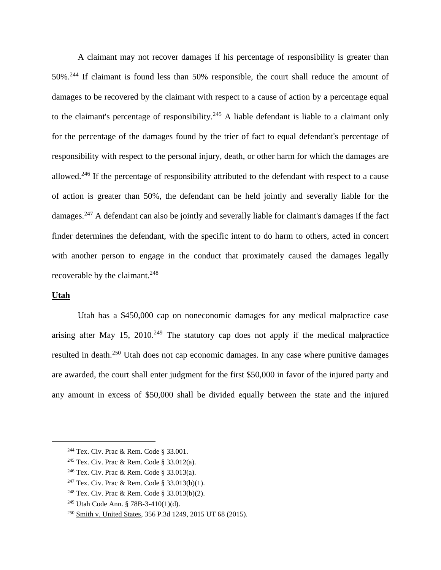A claimant may not recover damages if his percentage of responsibility is greater than 50%.<sup>244</sup> If claimant is found less than 50% responsible, the court shall reduce the amount of damages to be recovered by the claimant with respect to a cause of action by a percentage equal to the claimant's percentage of responsibility.<sup>245</sup> A liable defendant is liable to a claimant only for the percentage of the damages found by the trier of fact to equal defendant's percentage of responsibility with respect to the personal injury, death, or other harm for which the damages are allowed.<sup>246</sup> If the percentage of responsibility attributed to the defendant with respect to a cause of action is greater than 50%, the defendant can be held jointly and severally liable for the damages.<sup>247</sup> A defendant can also be jointly and severally liable for claimant's damages if the fact finder determines the defendant, with the specific intent to do harm to others, acted in concert with another person to engage in the conduct that proximately caused the damages legally recoverable by the claimant.<sup>248</sup>

#### **Utah**

Utah has a \$450,000 cap on noneconomic damages for any medical malpractice case arising after May 15, 2010.<sup>249</sup> The statutory cap does not apply if the medical malpractice resulted in death.<sup>250</sup> Utah does not cap economic damages. In any case where punitive damages are awarded, the court shall enter judgment for the first \$50,000 in favor of the injured party and any amount in excess of \$50,000 shall be divided equally between the state and the injured

<sup>244</sup> Tex. Civ. Prac & Rem. Code § 33.001.

<sup>245</sup> Tex. Civ. Prac & Rem. Code § 33.012(a).

<sup>246</sup> Tex. Civ. Prac & Rem. Code § 33.013(a).

<sup>247</sup> Tex. Civ. Prac & Rem. Code § 33.013(b)(1).

<sup>248</sup> Tex. Civ. Prac & Rem. Code § 33.013(b)(2).

<sup>249</sup> Utah Code Ann. § 78B-3-410(1)(d).

<sup>250</sup> Smith v. United States, 356 P.3d 1249, 2015 UT 68 (2015).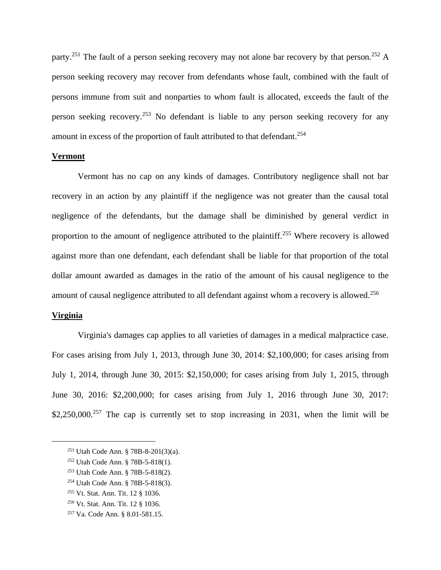party.<sup>251</sup> The fault of a person seeking recovery may not alone bar recovery by that person.<sup>252</sup> A person seeking recovery may recover from defendants whose fault, combined with the fault of persons immune from suit and nonparties to whom fault is allocated, exceeds the fault of the person seeking recovery.<sup>253</sup> No defendant is liable to any person seeking recovery for any amount in excess of the proportion of fault attributed to that defendant.<sup>254</sup>

# **Vermont**

Vermont has no cap on any kinds of damages. Contributory negligence shall not bar recovery in an action by any plaintiff if the negligence was not greater than the causal total negligence of the defendants, but the damage shall be diminished by general verdict in proportion to the amount of negligence attributed to the plaintiff.<sup>255</sup> Where recovery is allowed against more than one defendant, each defendant shall be liable for that proportion of the total dollar amount awarded as damages in the ratio of the amount of his causal negligence to the amount of causal negligence attributed to all defendant against whom a recovery is allowed.<sup>256</sup>

#### **Virginia**

Virginia's damages cap applies to all varieties of damages in a medical malpractice case. For cases arising from July 1, 2013, through June 30, 2014: \$2,100,000; for cases arising from July 1, 2014, through June 30, 2015: \$2,150,000; for cases arising from July 1, 2015, through June 30, 2016: \$2,200,000; for cases arising from July 1, 2016 through June 30, 2017: \$2,250,000.<sup>257</sup> The cap is currently set to stop increasing in 2031, when the limit will be

<sup>251</sup> Utah Code Ann. § 78B-8-201(3)(a).

<sup>252</sup> Utah Code Ann. § 78B-5-818(1).

<sup>253</sup> Utah Code Ann. § 78B-5-818(2).

<sup>254</sup> Utah Code Ann. § 78B-5-818(3).

<sup>255</sup> Vt. Stat. Ann. Tit. 12 § 1036.

<sup>256</sup> Vt. Stat. Ann. Tit. 12 § 1036.

<sup>257</sup> Va. Code Ann. § 8.01-581.15.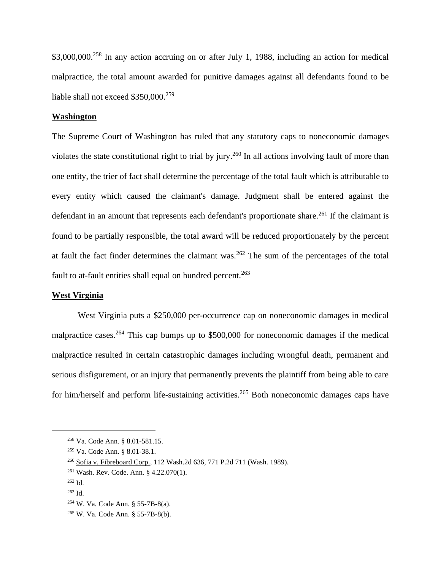\$3,000,000.<sup>258</sup> In any action accruing on or after July 1, 1988, including an action for medical malpractice, the total amount awarded for punitive damages against all defendants found to be liable shall not exceed \$350,000.<sup>259</sup>

#### **Washington**

The Supreme Court of Washington has ruled that any statutory caps to noneconomic damages violates the state constitutional right to trial by jury.<sup>260</sup> In all actions involving fault of more than one entity, the trier of fact shall determine the percentage of the total fault which is attributable to every entity which caused the claimant's damage. Judgment shall be entered against the defendant in an amount that represents each defendant's proportionate share.<sup>261</sup> If the claimant is found to be partially responsible, the total award will be reduced proportionately by the percent at fault the fact finder determines the claimant was.<sup>262</sup> The sum of the percentages of the total fault to at-fault entities shall equal on hundred percent.<sup>263</sup>

# **West Virginia**

West Virginia puts a \$250,000 per-occurrence cap on noneconomic damages in medical malpractice cases.<sup>264</sup> This cap bumps up to \$500,000 for noneconomic damages if the medical malpractice resulted in certain catastrophic damages including wrongful death, permanent and serious disfigurement, or an injury that permanently prevents the plaintiff from being able to care for him/herself and perform life-sustaining activities.<sup>265</sup> Both noneconomic damages caps have

<sup>258</sup> Va. Code Ann. § 8.01-581.15.

<sup>259</sup> Va. Code Ann. § 8.01-38.1.

<sup>260</sup> Sofia v. Fibreboard Corp., 112 Wash.2d 636, 771 P.2d 711 (Wash. 1989).

<sup>261</sup> Wash. Rev. Code. Ann. § 4.22.070(1).

 $262$  Id.

<sup>263</sup> Id.

<sup>264</sup> W. Va. Code Ann. § 55-7B-8(a).

<sup>265</sup> W. Va. Code Ann. § 55-7B-8(b).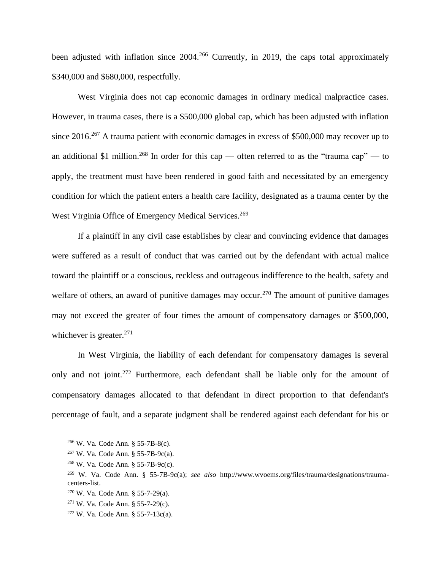been adjusted with inflation since 2004.<sup>266</sup> Currently, in 2019, the caps total approximately \$340,000 and \$680,000, respectfully.

West Virginia does not cap economic damages in ordinary medical malpractice cases. However, in trauma cases, there is a \$500,000 global cap, which has been adjusted with inflation since  $2016<sup>267</sup>$  A trauma patient with economic damages in excess of \$500,000 may recover up to an additional \$1 million.<sup>268</sup> In order for this cap — often referred to as the "trauma cap" — to apply, the treatment must have been rendered in good faith and necessitated by an emergency condition for which the patient enters a health care facility, designated as a trauma center by the West Virginia Office of Emergency Medical Services.<sup>269</sup>

If a plaintiff in any civil case establishes by clear and convincing evidence that damages were suffered as a result of conduct that was carried out by the defendant with actual malice toward the plaintiff or a conscious, reckless and outrageous indifference to the health, safety and welfare of others, an award of punitive damages may occur.<sup>270</sup> The amount of punitive damages may not exceed the greater of four times the amount of compensatory damages or \$500,000, whichever is greater. $271$ 

In West Virginia, the liability of each defendant for compensatory damages is several only and not joint.<sup>272</sup> Furthermore, each defendant shall be liable only for the amount of compensatory damages allocated to that defendant in direct proportion to that defendant's percentage of fault, and a separate judgment shall be rendered against each defendant for his or

<sup>266</sup> W. Va. Code Ann. § 55-7B-8(c).

<sup>267</sup> W. Va. Code Ann. § 55-7B-9c(a).

<sup>268</sup> W. Va. Code Ann. § 55-7B-9c(c).

<sup>269</sup> W. Va. Code Ann. § 55-7B-9c(a); *see also* http://www.wvoems.org/files/trauma/designations/traumacenters-list.

<sup>270</sup> W. Va. Code Ann. § 55-7-29(a).

<sup>271</sup> W. Va. Code Ann. § 55-7-29(c).

<sup>272</sup> W. Va. Code Ann. § 55-7-13c(a).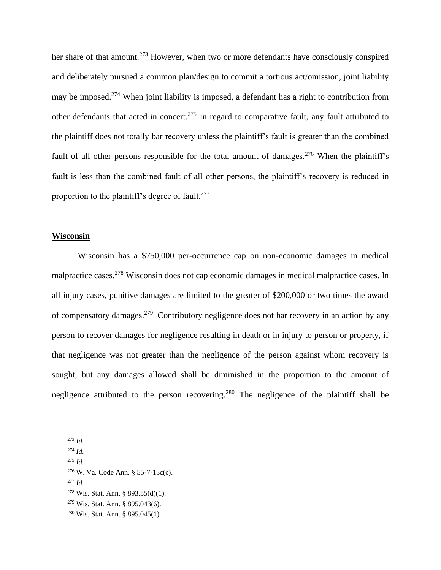her share of that amount.<sup>273</sup> However, when two or more defendants have consciously conspired and deliberately pursued a common plan/design to commit a tortious act/omission, joint liability may be imposed.<sup>274</sup> When joint liability is imposed, a defendant has a right to contribution from other defendants that acted in concert.<sup>275</sup> In regard to comparative fault, any fault attributed to the plaintiff does not totally bar recovery unless the plaintiff's fault is greater than the combined fault of all other persons responsible for the total amount of damages.<sup>276</sup> When the plaintiff's fault is less than the combined fault of all other persons, the plaintiff's recovery is reduced in proportion to the plaintiff's degree of fault.<sup>277</sup>

## **Wisconsin**

Wisconsin has a \$750,000 per-occurrence cap on non-economic damages in medical malpractice cases.<sup>278</sup> Wisconsin does not cap economic damages in medical malpractice cases. In all injury cases, punitive damages are limited to the greater of \$200,000 or two times the award of compensatory damages.<sup>279</sup> Contributory negligence does not bar recovery in an action by any person to recover damages for negligence resulting in death or in injury to person or property, if that negligence was not greater than the negligence of the person against whom recovery is sought, but any damages allowed shall be diminished in the proportion to the amount of negligence attributed to the person recovering.<sup>280</sup> The negligence of the plaintiff shall be

- <sup>274</sup> *Id.*
- <sup>275</sup> *Id.*
- <sup>276</sup> W. Va. Code Ann. § 55-7-13c(c).
- <sup>277</sup> *Id.*

<sup>279</sup> Wis. Stat. Ann. § 895.043(6).

<sup>273</sup> *Id.* 

 $278$  Wis. Stat. Ann. § 893.55(d)(1).

<sup>280</sup> Wis. Stat. Ann. § 895.045(1).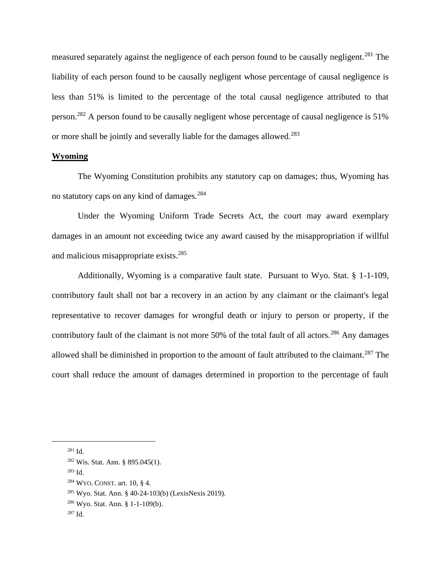measured separately against the negligence of each person found to be causally negligent.<sup>281</sup> The liability of each person found to be causally negligent whose percentage of causal negligence is less than 51% is limited to the percentage of the total causal negligence attributed to that person.<sup>282</sup> A person found to be causally negligent whose percentage of causal negligence is 51% or more shall be jointly and severally liable for the damages allowed.<sup>283</sup>

# **Wyoming**

The Wyoming Constitution prohibits any statutory cap on damages; thus, Wyoming has no statutory caps on any kind of damages.<sup>284</sup>

Under the Wyoming Uniform Trade Secrets Act, the court may award exemplary damages in an amount not exceeding twice any award caused by the misappropriation if willful and malicious misappropriate exists. 285

Additionally, Wyoming is a comparative fault state. Pursuant to Wyo. Stat. § 1-1-109, contributory fault shall not bar a recovery in an action by any claimant or the claimant's legal representative to recover damages for wrongful death or injury to person or property, if the contributory fault of the claimant is not more 50% of the total fault of all actors.<sup>286</sup> Any damages allowed shall be diminished in proportion to the amount of fault attributed to the claimant.<sup>287</sup> The court shall reduce the amount of damages determined in proportion to the percentage of fault

<sup>281</sup> Id.

<sup>283</sup> Id.

<sup>287</sup> Id.

<sup>282</sup> Wis. Stat. Ann. § 895.045(1).

<sup>284</sup> WYO. CONST. art. 10, § 4.

<sup>285</sup> Wyo. Stat. Ann. § 40-24-103(b) (LexisNexis 2019).

<sup>286</sup> Wyo. Stat. Ann. § 1-1-109(b).